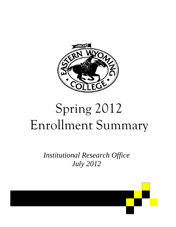

# Spring 2012 Enrollment Summary

*Institutional Research Office July 2012* 

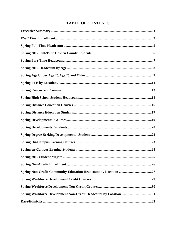# **TABLE OF CONTENTS**

| Spring 2012 Student Majors.                                      | .25 |
|------------------------------------------------------------------|-----|
|                                                                  |     |
|                                                                  |     |
|                                                                  |     |
|                                                                  |     |
| Spring Workforce Development Non-Credit Headcount by Location 31 |     |
|                                                                  |     |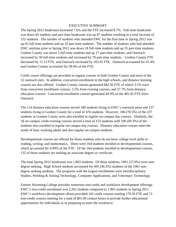#### EXECUTIVE SUMMARY

The Spring 2012 headcount increased 7.6% and the FTE increased 8.7%. Full-time headcount was down 45 students and part-time headcount was up 87 students resulting in a total increase of 132 students. The number of students who attended EWC for the first time in Spring 2012 was up 63 full-time students and up 32 part-time students. The number of students who had attended EWC anytime prior to Spring 2012 was down 18 full-time students and up 55 part-time students. Goshen County was down 5 full-time students and up 17 part-time students, and Outreach increased by 50 full-time students and increased by 70 part-time students. Goshen County FTE decreased by 11.13 FTE, and Outreach increased by 103.92 FTE. Outreach accounted for 41.4% and Goshen County accounted for 58.6% of the FTE.

Credit course offerings are provided as regular courses in both Goshen County and most of the 12 outreach sites. In addition, concurrent enrollment in the high schools, and distance learning courses are also offered. Goshen County courses generated 682.50 FTE of which 3.1% were from concurrent enrollment courses, 5.5% from evening courses, and 27.7% from distance education courses. Concurrent enrollment courses generated 40.9% of the 481.92 FTE from Outreach.

The 114 distance education courses served 180 students living in EWC's outreach areas and 237 students living in Goshen County for a total of 476 students. However, 186 (78.5%) of the 237 students in Goshen County were also enrolled in regular on-campus day courses. Similarly, the 18 on-campus credit evening courses served a total of 153 students with 106 (69.3%) of the students also enrolled in regular on-campus day courses. Distance education courses meet the needs of busy working adults and also regular on-campus students.

Developmental courses are offered for those students who do not have college level skills in reading, writing, and mathematics. There were 164 students enrolled in developmental courses, which accounted for 4.99% of the FTE. Of the 164 students enrolled in developmental courses, 132 of those students are seeking an associate degree or certificate.

The total Spring 2012 headcount was 1,863 students. Of those students, 1061 (57.0%) were nondegree seeking. High School students accounted for 491 (46.3%) students of the 1061 nondegree seeking students. The programs with the largest enrollments were Interdisciplinary Studies, Welding & Joining Technology, Computer Applications, and Veterinary Technology.

Eastern Wyoming College provides numerous non-credit and workforce development offerings. EWC's non-credit enrollment was 2,262 students compared to 1,965 students in Spring 2011. EWC's workforce development efforts provided 102 credit courses totaling 179.50 FTE and 73 non-credit courses meeting for a total of 801.00 contact hours to provide further educational opportunities for individuals in or preparing to enter the workforce.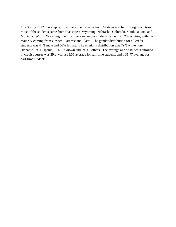The Spring 2012 on-campus, full-time students came from 24 states and four foreign countries. Most of the students came from five states: Wyoming, Nebraska, Colorado, South Dakota, and Montana. Within Wyoming, the full-time, on-campus students came from 20 counties, with the majority coming from Goshen, Laramie and Platte. The gender distribution for all credit students was 44% male and 56% female. The ethnicity distribution was 79% white non-Hispanic, 5% Hispanic, 11% Unknown and 5% all others. The average age of students enrolled in credit courses was 29.2 with a 23.55 average for full-time students and a 31.77 average for part-time students.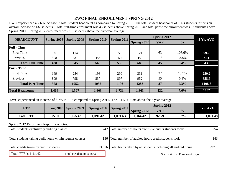## **EWC FINAL ENROLLMENT SPRING 2012**

EWC experienced a 7.6% increase in total student headcount as compared to Spring 2011. The total student headcount of 1863 students reflects an overall increase of 132 students. Total full-time enrollment was 45 students above Spring 2011 and total part-time enrollment was 87 students above Spring 2011. Spring 2012 enrollment was 211 students above the five-year average.

| <b>HEADCOUNT</b>       |             |             | Spring 2010 |             |             | Spring 2012 |               | $5Yr.$ AVG |  |
|------------------------|-------------|-------------|-------------|-------------|-------------|-------------|---------------|------------|--|
|                        | Spring 2008 | Spring 2009 |             | Spring 2011 | Spring 2012 | <b>VAR</b>  | $\frac{0}{0}$ |            |  |
| <b>Full</b> - Time     |             |             |             |             |             |             |               |            |  |
| <b>First Time</b>      | 90          | 114         | 113         | 58          | 121         | 63          | 108.6%        | 99.2       |  |
| Previous               | 398         | 431         | 455         | 477         | 459         | $-18$       | $-3.8\%$      | 444        |  |
| <b>Total Full Time</b> | 488         | 545         | 568         | 535         | 580         | 45          | 8.4%          | 543.2      |  |
| <b>Part</b> - Time     |             |             |             |             |             |             |               |            |  |
| <b>First Time</b>      | 169         | 254         | 198         | 299         | 331         | 32          | 10.7%         | 250.2      |  |
| Previous               | 809         | 798         | 837         | 897         | 952         | 55          | 6.1%          | 858.6      |  |
| <b>Total Part Time</b> | 978         | 1052        | 1035        | 1196        | 1283        | 87          | 7.3%          | 1108.8     |  |
| <b>Total Headcount</b> | 1,466       | 1,597       | 1,603       | 1,731       | 1,863       | 132         | 7.6%          | 1652       |  |

EWC experienced an increase of 8.7% in FTE compared to Spring 2011. The FTE is 92.94 above the 5 year average.

|                  |        | Spring 2008 Spring 2009 | Spring 2010 | Spring 2011 |             | <b>5 Yr. AVG</b> |               |         |
|------------------|--------|-------------------------|-------------|-------------|-------------|------------------|---------------|---------|
| FTE              |        |                         |             |             | Spring 2012 | <b>VAR</b>       | $\frac{0}{0}$ |         |
| <b>Total FTE</b> | 975.50 | 1,055.42                | 1,090.42    | .,071.63    | 1,164.42    | 92.79            | 8.7%          | .071.48 |

Spring 2012 Enrollment Report Footnotes:

| Total students exclusively auditing classes:              |                         | 242 Total number of hours exclusive audits students took:             |        |  |  |  |  |
|-----------------------------------------------------------|-------------------------|-----------------------------------------------------------------------|--------|--|--|--|--|
| Total students taking audit hours within regular courses: |                         | 136 Total number of audited hours credit students took:               | 143    |  |  |  |  |
| Total credits taken by credit students:                   |                         | 13,576 Total hours taken by all students including all audited hours: | 13,973 |  |  |  |  |
| Total FTE is 1164.42                                      | Total Headcount is 1863 | Source: WCCC Enrollment Report                                        |        |  |  |  |  |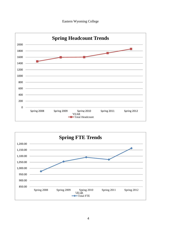



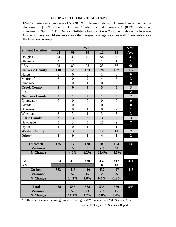#### **SPRING FULL-TIME HEADCOUNT**

EWC experienced an increase of 50 (48.5%) full-time students in Outreach enrollment and a decrease of 5 (1.2%) students in Goshen County for a total increase of 45 (8.4%) students as compared to Spring 2011. Outreach full-time headcount was 23 students above the five-year. Goshen County was 14 students above the five-year average for an overall 37 students above the five-year average.

|                         |                         |                         | Year                    |                         |                  | 5 Yr.                   |
|-------------------------|-------------------------|-------------------------|-------------------------|-------------------------|------------------|-------------------------|
| <b>Student Location</b> | 08                      | 09                      | 10                      | 11                      | 12               | Avg.                    |
| Douglas                 | 34                      | 33                      | 45                      | 54                      | 60               | 45                      |
| Glenrock                | $\overline{4}$          | $\mathbf{1}$            | $\overline{0}$          | $\mathbf{1}$            | $\mathbf{1}$     | $\mathbf{1}$            |
| <b>LEA</b>              | 72                      | 89                      | 78                      | 23                      | 66               | 66                      |
| <b>Converse County</b>  | 110                     | 123                     | 123                     | 78                      | 127              | 112                     |
| Hulett                  | $\overline{0}$          | $\overline{0}$          | $\overline{0}$          | $\mathbf{1}$            | $\boldsymbol{0}$ | $\bf{0}$                |
| Moorcroft               | 3                       | $\overline{0}$          | $\overline{2}$          | $\overline{4}$          | 5                | $\mathbf{3}$            |
| Sundance                | $\overline{0}$          | $\overline{0}$          | $\mathbf{1}$            | $\boldsymbol{0}$        | $\overline{0}$   | $\boldsymbol{0}$        |
| <b>Crook County</b>     | $\overline{\mathbf{3}}$ | $\boldsymbol{0}$        | $\overline{\mathbf{3}}$ | 5                       | 5                | $\overline{\mathbf{3}}$ |
| Lusk                    | $\overline{2}$          | $\mathbf{1}$            | $\overline{2}$          | $\mathbf{1}$            | 5                | $\overline{2}$          |
| <b>Niobrara County</b>  | $\overline{2}$          | $\mathbf{1}$            | $\overline{2}$          | $\mathbf{1}$            | 5                | $\overline{2}$          |
| Chugwater               | $\boldsymbol{0}$        | $\overline{0}$          | $\overline{0}$          | $\boldsymbol{0}$        | $\overline{0}$   | $\boldsymbol{0}$        |
| Glendo                  | $\overline{0}$          | $\overline{0}$          | $\overline{0}$          | $\boldsymbol{0}$        | $\overline{0}$   | $\boldsymbol{0}$        |
| Guernsey                | $\overline{0}$          | $\overline{0}$          | $\mathbf{1}$            | $\overline{0}$          | $\overline{2}$   | 1                       |
| Wheatland               | 3                       | 3                       | $\mathbf{1}$            | 3                       | 3                | 3                       |
| <b>Platte County</b>    | $\overline{\mathbf{3}}$ | $\overline{\mathbf{3}}$ | $\overline{2}$          | $\overline{\mathbf{3}}$ | $\overline{5}$   | $\overline{\mathbf{3}}$ |
| Newcastle               | 5                       | $\overline{3}$          | 5                       | 11                      | 9                | $\overline{7}$          |
| Upton                   | $\mathbf{1}$            | $\overline{0}$          | $\mathbf{1}$            | $\mathbf{1}$            | $\mathbf{1}$     | $\mathbf{1}$            |
| <b>Weston County</b>    | 6                       | 3                       | 6                       | 12                      | 10               | $\overline{7}$          |
| Other*                  | $\mathbf{1}$            | $\boldsymbol{0}$        | $\overline{2}$          | $\overline{\mathbf{4}}$ | $\mathbf{1}$     | $\overline{2}$          |
|                         |                         |                         |                         |                         |                  |                         |
| <b>Outreach</b>         | 125                     | 130                     | 138                     | 103                     | 153              | 130                     |
| <b>Variance</b>         |                         | 5                       | 8                       | $-35$                   | 50               |                         |
| % Change                |                         | 4.0%                    | 6.2%                    | $-25.4%$                | 48.5%            |                         |
|                         |                         |                         |                         |                         |                  |                         |
| <b>EWC</b>              | 363                     | 415                     | 430                     | 432                     | 417              | 411                     |
| <b>WMC</b>              |                         |                         |                         | $\bf{0}$                | 10               |                         |
| Goshen                  | 363                     | 415                     | 430                     | 432                     | 427              | 413                     |
| <b>Variance</b>         |                         | 52                      | 15                      | $\overline{2}$          | $-5$             |                         |
| % Change                |                         | 14.3%                   | 3.6%                    | 0.5%                    | $-1.2%$          |                         |
|                         |                         |                         |                         |                         |                  |                         |
| <b>Total</b>            | 488                     | 545                     | 568                     | 535                     | 580              | 543                     |
| <b>Variance</b>         |                         | 57                      | 23                      | $-33$                   | 45               |                         |
| % Change                |                         | 11.7%                   | 4.2%                    | $-5.8\%$                | 8.4%             |                         |

\* Full-Time Distance Learning Students Living in WY Outside the EWC Service Area

Source: Colleague FTE Summary Report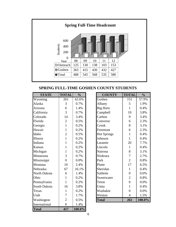

**SPRING FULL-TIME GOSHEN COUNTY STUDENTS**

| <b>STATE</b>  | <b>TOTAL</b>   | $\frac{0}{0}$ | <b>COUNTY</b>      | <b>TOTAL</b>     | $\frac{0}{0}$ |
|---------------|----------------|---------------|--------------------|------------------|---------------|
| Wyoming       | 261            | 62.6%         | Goshen             | 151              | 57.9%         |
| Alaska        | 3              | 0.7%          | Albany             | 5                | 1.9%          |
| Arizona       | 6              | 1.4%          | Big Horn           | $\mathbf{1}$     | 0.4%          |
| California    | 3              | 0.7%          | Campbell           | 10               | 3.8%          |
| Colorado      | 14             | 3.4%          | Carbon             | 9                | 3.4%          |
| Florida       | $\overline{2}$ | 0.5%          | Converse           | 6                | 2.3%          |
| Georgia       | $\mathbf{1}$   | 0.2%          | Crook              | 8                | 3.1%          |
| Hawaii        | $\mathbf{1}$   | 0.2%          | Freemont           | 6                | 2.3%          |
| Idaho         | $\overline{2}$ | 0.5%          | <b>Hot Springs</b> | $\mathbf{1}$     | 0.4%          |
| Illinois      | $\mathbf{1}$   | 0.2%          | Johnson            | $\mathbf{1}$     | 0.4%          |
| Indiana       | $\mathbf{1}$   | 0.2%          | Laramie            | 20               | 7.7%          |
| Kansas        | $\mathbf{1}$   | 0.2%          | Lincoln            | $\mathbf{1}$     | 0.4%          |
| Michigan      | $\mathbf{1}$   | 0.2%          | Natrona            | 8                | 3.1%          |
| Minnesota     | 3              | 0.7%          | Niobrara           | $\overline{7}$   | 2.7%          |
| Mississippi   | $\overline{0}$ | 0.0%          | Park               | $\overline{2}$   | 0.8%          |
| Montana       | 10             | 2.4%          | Platte             | 17               | 6.5%          |
| Nebraska      | 67             | 16.1%         | Sheridan           | $\mathbf{1}$     | 0.4%          |
| North Dakota  | 6              | 1.4%          | Sublette           | $\boldsymbol{0}$ | 0.0%          |
| Ohio          | $\mathbf{1}$   | 0.2%          | Sweetwater         | $\overline{2}$   | 0.8%          |
| Pennsylvania  | $\mathbf{1}$   | 0.2%          | Teton              | $\overline{0}$   | 0.0%          |
| South Dakota  | 16             | 3.8%          | Uinta              | $\mathbf{1}$     | 0.4%          |
| Texas         | $\mathbf{1}$   | 0.2%          | Washakie           | $\boldsymbol{0}$ | 0.0%          |
| Utah          | $\overline{7}$ | 1.7%          | Weston             | $\overline{4}$   | 1.5%          |
| Washington    | $\overline{2}$ | 0.5%          | <b>Total</b>       | 261              | 100.0%        |
| International | 6              | 1.4%          |                    |                  |               |
| <b>Total</b>  | 417            | 100.0%        |                    |                  |               |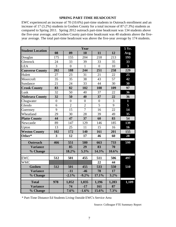#### **SPRING PART-TIME HEADCOUNT**

EWC experienced an increase of 70 (10.6%) part-time students in Outreach enrollment and an increase of 17 (3.2%) students in Goshen County for a total increase of 87 (7.3%) students as compared to Spring 2011. Spring 2012 outreach part-time headcount was 134 students above the five-year average, and Goshen County part-time headcount was 40 students above the fiveyear average. The total part-time headcount was above the five-year average by 174 students.

| <b>Student Location</b> |                         |                  | Year           |                |       | 5 Yr.                   |
|-------------------------|-------------------------|------------------|----------------|----------------|-------|-------------------------|
|                         | 08                      | 09               | 10             | 11             | 12    | Avg.                    |
| Douglas                 | 175                     | 155              | 204            | 218            | 213   | 193                     |
| Glenrock                | 24                      | 33               | 39             | 33             | 35    | 33                      |
| <b>LEA</b>              | $\overline{3}$          | $\overline{0}$   | $\mathbf{1}$   | $\overline{0}$ | 10    | $\overline{\mathbf{3}}$ |
| <b>Converse County</b>  | 202                     | 188              | 244            | 251            | 258   | 229                     |
| Hulett                  | 27                      | 23               | 31             | 21             | 22    | 25                      |
| Moorcroft               | $\overline{35}$         | 35               | 38             | 43             | 57    | 42                      |
| Sundance                | 21                      | 24               | 33             | 44             | 30    | 30                      |
| <b>Crook County</b>     | 83                      | 82               | 102            | 108            | 109   | 97                      |
| Lusk                    | 32                      | 50               | 40             | 37             | 22    | 36                      |
| <b>Niobrara County</b>  | 32                      | 50               | 40             | 37             | 22    | 36                      |
| Chugwater               | $\overline{0}$          | $\boldsymbol{0}$ | $\overline{0}$ | $\overline{0}$ | 3     | $\mathbf{1}$            |
| Glendo                  | 6                       | $\overline{2}$   | $\overline{2}$ | $\overline{5}$ | 9     | 5                       |
| Guernsey                | 9                       | 15               | $\overline{7}$ | 16             | 22    | 14                      |
| Wheatland               | 29                      | 30               | 28             | 39             | 49    | 35                      |
| <b>Platte County</b>    | 44                      | 47               | 37             | 60             | 83    | 54                      |
| Newcastle               | 89                      | 147              | 129            | 146            | 185   | 139                     |
| Upton                   | 13                      | 25               | 11             | 15             | 16    | 16                      |
| <b>Weston County</b>    | 102                     | 172              | 140            | 161            | 201   | 155                     |
| Other*                  | $\overline{\mathbf{3}}$ | 12               | 17             | 46             | 60    | 28                      |
| <b>Outreach</b>         | 466                     | 551              | 580            | 663            | 733   | 599                     |
| <b>Variance</b>         |                         | 85               | 29             | 83             | 70    |                         |
| % Change                |                         | 18.2%            | 5.3%           | 14.3%          | 10.6% |                         |
| <b>EWC</b>              | 512                     | 501              | 455            | 511            | 506   | 497                     |
| <b>WMC</b>              |                         |                  |                | 22             | 44    |                         |
| Goshen                  | 512                     | 501              | 455            | 533            | 550   | 510                     |
| <b>Variance</b>         |                         | $-11$            | $-46$          | 78             | 17    |                         |
| % Change                |                         | $-2.1%$          | $-9.2%$        | 17.1%          | 3.2%  |                         |
| <b>Total</b>            | 978                     | 1,052            | 1,035          | 1,196          | 1,283 | 1,109                   |
| <b>Variance</b>         |                         | 74               | $-17$          | 161            | 87    |                         |
| % Change                |                         | 7.6%             | $-1.6%$        | 15.6%          | 7.3%  |                         |

\* Part-Time Distance Ed Students Living Outside EWC's Service Area

Source: Colleague FTE Summary Report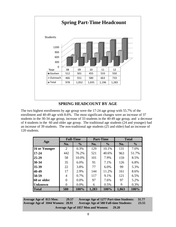

## **SPRING HEADCOUNT BY AGE**

The two highest enrollments by age group were the 17-24 age group with 55.7% of the enrollment and 40-49 age with 8.6%. The most significant changes were an increase of 37 students in the 30-34 age group, increase of 33 students in the 40-49 age group, and a decrease of 4 students in the 60 and older age group. The traditional age students (24 and younger) had an increase of 39 students. The non-traditional age students (25 and older) had an increase of 120 students.

|                |     | <b>Full-Time</b> |       | <b>Part-Time</b> |       | <b>Total</b>  |
|----------------|-----|------------------|-------|------------------|-------|---------------|
| Age            | No. | $\frac{0}{0}$    | No.   | $\frac{0}{0}$    | No.   | $\frac{0}{0}$ |
| 16 or Younger  | 2   | 0.3%             | 129   | 10.1%            | 131   | 7.0%          |
| $17 - 24$      | 442 | 76.2%            | 521   | 40.6%            | 963   | 51.7%         |
| $25 - 29$      | 58  | 10.0%            | 101   | 7.9%             | 159   | 8.5%          |
| $30 - 34$      | 35  | 6.0%             | 91    | 7.1%             | 126   | 6.8%          |
| $35 - 39$      | 22  | 3.8%             | 77    | 6.0%             | 99    | 5.3%          |
| 40-49          | 17  | 2.9%             | 144   | 11.2%            | 161   | 8.6%          |
| 50-59          | 4   | 0.7%             | 117   | 9.1%             | 121   | 6.5%          |
| 60 or older    | 0   | 0.0%             | 97    | 7.6%             | 97    | 5.2%          |
| <b>Unknown</b> | 0   | 0.0%             | 6     | 0.5%             | 6     | 0.3%          |
| <b>Total</b>   | 580 | 100%             | 1,283 | 100%             | 1,863 | 100%          |

**Average Age of 813 Men: 29.57 Average Age of 1044 Women: 28.91 Average Age of 1277 Part-time Students: 31.77 Average Age of 580 Full-time Students: 23.55 Average Age of 1857 Men and Women: 29.20**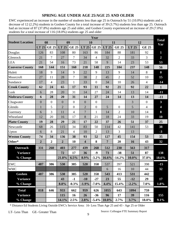## **SPRING AGE UNDER AGE 25/AGE 25 AND OLDER**

EWC experienced an increase in the number of students less than age 25 in Outreach by 51 (10.0%) students and a decrease of 12 (2.2%) students in Goshen County for a total increase of 39 (3.7%) students less than age 25. Outreach had an increase of 87 (37.8%) students age 25 and older, and Goshen County experienced an increase of 29 (7.0%) students for a total increase of 116 (18.0%) students age 25 and older

|                         | Year           |                |                |                |                         |                  |                |                  |          |                |                         |
|-------------------------|----------------|----------------|----------------|----------------|-------------------------|------------------|----------------|------------------|----------|----------------|-------------------------|
| <b>Student Location</b> |                | 08             |                | 09             |                         | 10               |                | 11               |          | 12             | <b>Total</b><br>Var     |
|                         | LT 25          | <b>GE 25</b>   | LT 25          | <b>GE 25</b>   | $LT$ 25                 | <b>GE 25</b>     | LT 25          | <b>GE 25</b>     | LT 25    | <b>GE 25</b>   |                         |
| Douglas                 | 126            | 83             | 108            | 80             | 163                     | 86               | 184            | 88               | 181      | 92             | $\mathbf{1}$            |
| Glenrock                | 21             | $\overline{7}$ | 27             | $\overline{7}$ | 34                      | $\overline{4}$   | 32             | $\overline{2}$   | 33       | $\overline{3}$ | $\overline{2}$          |
| <b>LEA</b>              | 21             | 54             | 16             | 73             | 21                      | 58               | 9              | 14               | 23       | 53             | 53                      |
| <b>Converse County</b>  | 168            | 144            | 151            | 160            | 218                     | 148              | 225            | 104              | 237      | 148            | 56                      |
| Hulett                  | 18             | 9              | 14             | 9              | 22                      | 9                | 13             | 9                | 14       | 8              | $\bf{0}$                |
| Moorcroft               | 27             | 11             | 28             | $\overline{7}$ | 38                      | $\overline{2}$   | 45             | $\overline{2}$   | 52       | 10             | 15                      |
| Sundance                | 17             | $\overline{4}$ | 23             | 1              | 33                      | $\boldsymbol{0}$ | 34             | 10               | 26       | $\overline{4}$ | $-14$                   |
| <b>Crook County</b>     | 62             | 24             | 65             | 17             | 93                      | 11               | 92             | 21               | 92       | 22             | $\mathbf{1}$            |
| Lusk                    | 6              | 28             | 20             | 31             | 14                      | 27               | 24             | 14               | 13       | 14             | $-11$                   |
| <b>Niobrara County</b>  | 6              | 28             | 20             | 31             | 14                      | 27               | 24             | 14               | 13       | 14             | $-11$                   |
| Chugwater               | $\overline{0}$ | $\overline{0}$ | $\overline{0}$ | $\overline{0}$ | $\theta$                | $\boldsymbol{0}$ |                |                  | 3        | $\overline{0}$ | $\overline{\mathbf{3}}$ |
| Glendo                  | 1              | 5              | $\overline{2}$ | $\overline{0}$ | $\overline{2}$          | $\overline{0}$   | $\overline{5}$ | $\boldsymbol{0}$ | 5        | $\overline{4}$ | $\overline{\mathbf{4}}$ |
| Guernsey                | 6              | 3              | 11             | $\overline{4}$ | $\overline{7}$          | $\mathbf{1}$     | 14             | 2                | 10       | 14             | 8                       |
| Wheatland               | 12             | 20             | 16             | 17             | 8                       | 21               | 18             | 24               | 33       | 19             | 10                      |
| <b>Platte County</b>    | 19             | 28             | 29             | 21             | 17                      | 22               | 37             | 26               | 51       | 37             | 25                      |
| Newcastle               | 68             | 26             | 115            | 34             | 83                      | 50               | 114            | 42               | 141      | 53             | 38                      |
| Upton                   | 6              | 8              | 21             | $\overline{4}$ | 10                      | $\overline{2}$   | 13             | 3                | 13       |                | $-3$                    |
| <b>Weston County</b>    | 74             | 34             | 136            | 38             | 93                      | 52               | 127            | 45               | 154      | 53             | 35                      |
| Other*                  | $\overline{2}$ | $\overline{2}$ | $\overline{2}$ | 10             | $\overline{\mathbf{4}}$ | 8                | $\overline{7}$ | 20               | 16       | 43             | 32                      |
| Outreach                | 331            | 260            | 403            | 277            | 439                     | 268              | 512            | 230              | 563      | 317            |                         |
| <b>Variance</b>         |                |                | 72             | 17             | 36                      | $-9$             | 73             | $-38$            | 51       | 87             | 138                     |
| % Change                |                |                | 21.8%          | 6.5%           | 8.9%                    | $-3.2\%$         | 16.6%          | $-14.2%$         | 10.0%    | 37.8%          | 18.6%                   |
| <b>EWC</b>              | 487            | 386            | 530            | 385            | 520                     | 358              | 537            | 397              | 521      | 398            | $-15$                   |
| <b>WMC</b>              |                |                |                |                |                         |                  | 6              | 16               | 10       | 44             | 32                      |
| Goshen                  | 487            | 386            | 530            | 385            | 520                     | 358              | 543            | 413              | 531      | 442            |                         |
| <b>Variance</b>         |                |                | 43             | $-1$           | $-10$                   | $-27$            | 23             | 55               | $-12$    | 29             | 17                      |
| % Change                |                |                | 8.8%           | $-0.3%$        | $-1.9%$                 | $-7.0\%$         | 4.4%           | 15.4%            | $-2.2\%$ | 7.0%           | 1.8%                    |
| <b>Total</b>            | 818            | 646            | 933            | 662            | 959                     | 626              | 1055           | 643              | 1094     | 759            |                         |
| <b>Variance</b>         |                |                | 115            | 16             | 26                      | $-36$            | 96             | 17               | 39       | 116            | 155                     |
| $\frac{6}{6}$ Change    |                |                | 14.1%          | 2.5%           | 2.8%                    |                  | $-5.4\%$ 10.0% | 2.7%             | 3.7%     | 18.0%          | 9.1%                    |

\* Distance Ed Students Living Outside EWC's Service Area: 16- Less Than Age 25 and 43 - Age 25 or Older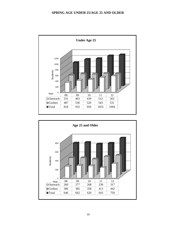#### **SPRING AGE UNDER 25/AGE 25 AND OLDER**



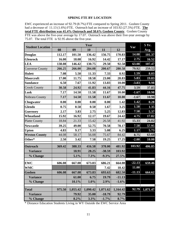#### **SPRING FTE BY LOCATION**

EWC experienced an increase of 92.79 (8.7%) FTE compared to Spring 2011. Goshen County had a decrease of 11.13 (1.6%) FTE. Outreach had an increase of 103.92 (27.5%) FTE. **The total FTE distribution was 41.4% Outreach and 58.6% Goshen County**. Goshen County FTE was above the five-year average by 17.07. Outreach was above their five-year average by 75.07. The total FTE is 92.95 above the five-year.

| <b>Student Location</b> |        |          | Year     |          |          | Var      | 5 Yr.    |
|-------------------------|--------|----------|----------|----------|----------|----------|----------|
|                         | 08     | 09       | 10       | 11       | 12       |          | Avg.     |
| <b>Douglas</b>          | 112.17 | 101.50   | 136.42   | 156.75   | 170.83   | 14.08    | 101.37   |
| <b>Glenrock</b>         | 16.00  | 18.08    | 16.92    | 14.42    | 17.17    | 2.75     | 16.52    |
| <b>LEA</b>              | 138.08 | 146.42   | 130.75   | 29.50    | 92.58    | 63.08    | 107.47   |
| <b>Converse County</b>  | 266.25 | 266.00   | 284.08   | 200.67   | 280.58   | 79.92    | 259.52   |
| <b>Hulett</b>           | 7.08   | 5.50     | 11.33    | 7.33     | 8.92     | 1.59     | 8.03     |
| <b>Moorcroft</b>        | 17.00  | 11.75    | 18.58    | 23.00    | 28.83    | 5.83     | 19.83    |
| <b>Sundance</b>         | 6.50   | 7.67     | 11.92    | 13.83    | 10.00    | $-3.83$  | 9.98     |
| <b>Crook County</b>     | 30.58  | 24.92    | 41.83    | 44.16    | 47.75    | 3.59     | 37.85    |
| Lusk                    | 7.17   | 14.50    | 11.58    | 11.67    | 10.00    | $-1.67$  | 10.98    |
| Nobrara County          | 7.17   | 14.50    | 11.58    | 11.67    | 10.00    | $-1.67$  | 10.98    |
| <b>Chugwater</b>        | 0.00   | 0.00     | 0.00     | 0.00     | 1.42     | 1.42     | 0.28     |
| <b>Glendo</b>           | 0.75   | 0.58     | 0.50     | 1.67     | 3.25     | 1.58     | 1.35     |
| <b>Guernsey</b>         | 2.17   | 3.83     | 2.75     | 5.25     | 12.83    | 7.58     | 5.37     |
| Wheatland               | 15.92  | 16.92    | 12.17    | 19.67    | 24.42    | 4.75     | 17.82    |
| <b>Platte County</b>    | 18.84  | 21.33    | 15.42    | 26.58    | 41.92    | 15.33    | 24.82    |
| <b>Newcastle</b>        | 39.25  | 49.00    | 52.75    | 70.58    | 78.17    | 7.58     | 57.95    |
| <b>Upton</b>            | 4.83   | 9.17     | 3.33     | 5.08     | 6.25     | 1.17     | 5.73     |
| <b>Weston County</b>    | 44.08  | 58.17    | 56.08    | 75.67    | 84.42    | 8.75     | 63.68    |
| Other*                  | 2.50   | 3.42     | 7.58     | 19.25    | 17.25    | $-2.00$  | 10.00    |
| <b>Outreach</b>         | 369.42 | 388.33   | 416.58   | 378.00   | 481.92   | 103.92   | 406.85   |
| <b>Variance</b>         |        | 18.91    | 28.25    | $-38.59$ | 103.92   |          |          |
| % Change                |        | 5.1%     | 7.3%     | $-9.3%$  | 27.5%    |          |          |
| <b>EWC</b>              | 606.08 | 667.08   | 673.83   | 686.21   | 664.08   | $-22.13$ | 659.46   |
| <b>WMC</b>              |        |          |          | 7.42     | 18.42    | 11.00    |          |
| <b>Goshen</b>           | 606.08 | 667.08   | 673.83   | 693.63   | 682.50   | $-11.13$ | 664.62   |
| <b>Variance</b>         |        | 61.00    | 6.75     | 19.79    | $-11.13$ |          |          |
| % Change                |        | 10.1%    | 1.0%     | 2.9%     | $-1.6%$  |          |          |
| <b>Total</b>            | 975.50 | 1,055.42 | 1,090.42 | 1,071.62 | 1,164.42 | 92.79    | 1,071.47 |
| <b>Variance</b>         |        | 79.92    | 35.00    | $-18.79$ | 92.79    |          |          |
| % Change                |        | 8.2%     | 3.3%     | $-1.7%$  | 8.7%     |          |          |

\* Distance Education Students Living in WY Outside the EWC Service Area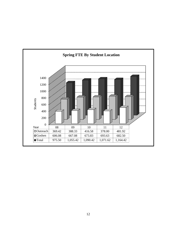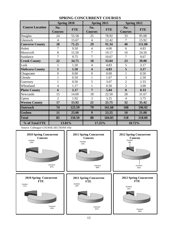|                        | Spring 2010           |            | Spring 2011             |            | Spring 2012           |            |  |
|------------------------|-----------------------|------------|-------------------------|------------|-----------------------|------------|--|
| <b>Course Location</b> | No.<br><b>Courses</b> | <b>FTE</b> | No.<br><b>Courses</b>   | <b>FTE</b> | No.<br><b>Courses</b> | <b>FTE</b> |  |
| Douglas                | 24                    | 55.58      | 25                      | 78.92      | 33                    | 95.08      |  |
| Glenrock               | $\overline{4}$        | 15.67      | $\overline{4}$          | 12.42      | 7                     | 15.92      |  |
| <b>Converse County</b> | 28                    | 71.25      | 29                      | 91.34      | 40                    | 111.00     |  |
| Hulett                 | 7                     | 9.50       | $\overline{4}$          | 4.00       | 6                     | 4.83       |  |
| Moorcroft              | 8                     | 15.50      | $\overline{7}$          | 19.17      | 10                    | 24.50      |  |
| Sundance               | 7                     | 9.75       | 7                       | 10.67      | 7                     | 9.67       |  |
| <b>Crook County</b>    | 22                    | 34.75      | 18                      | 33.84      | 23                    | 39.00      |  |
| Lusk                   | $\mathbf{1}$          | 1.50       | $\overline{4}$          | 4.83       | 5                     | 3.17       |  |
| <b>Niobrara County</b> | 1                     | 1.50       | $\overline{\mathbf{4}}$ | 4.83       | 5                     | 3.17       |  |
| Chugwater              | $\boldsymbol{0}$      | 0.00       | $\overline{0}$          | 0.00       | 1                     | 0.50       |  |
| Glendo                 | $\mathbf{1}$          | 0.50       | $\mathbf{1}$            | 1.67       | 3                     | 2.50       |  |
| Guernsey               | $\mathbf{1}$          | 0.50       | 5                       | 3.67       | $\overline{2}$        | 2.33       |  |
| Wheatland              | $\overline{4}$        | 1.17       | 1                       | 0.50       | $\overline{2}$        | 3.00       |  |
| <b>Platte County</b>   | 6                     | 2.17       | $\overline{7}$          | 5.84       | 8                     | 8.33       |  |
| Newcastle              | 15                    | 14.00      | 18                      | 22.50      | 28                    | 31.67      |  |
| Upton                  | $\overline{2}$        | 1.92       | 3                       | 3.25       | $\overline{4}$        | 3.75       |  |
| <b>Weston County</b>   | 17                    | 15.92      | 21                      | 25.75      | 32                    | 35.42      |  |
| <b>Outreach</b>        | 74                    | 125.59     | 79                      | 161.60     | 108                   | 196.92     |  |
| Goshen                 | 11                    | 25.00      | 9                       | 23.25      | 10                    | 21.08      |  |
| <b>Total</b>           | 85                    | 150.59     | 88                      | 184.85     | 118                   | 218.00     |  |
| % of Total FTE         | 13.81%                |            | 17.25%                  |            | 18.72%                |            |  |

## **SPRING CONCURRENT COURSES**

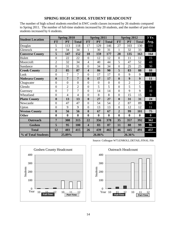#### **SPRING HIGH SCHOOL STUDENT HEADCOUNT**

The number of high school students enrolled in EWC credit classes increased by 26 students compared to Spring 2011. The number of full-time students increased by 20 students, and the number of part-time students increased by 6 students.

|                         |                | <b>Spring 2010</b> |                |                         | <b>Spring 2011</b> |                |                  | Spring 2012    |                  | 3 Yr.          |
|-------------------------|----------------|--------------------|----------------|-------------------------|--------------------|----------------|------------------|----------------|------------------|----------------|
| <b>Student Location</b> | <b>FT</b>      | <b>PT</b>          | <b>Total</b>   | <b>FT</b>               | PT                 | <b>Total</b>   | <b>FT</b>        | <b>PT</b>      | <b>Total</b>     | Avg.           |
| Douglas                 | 5              | 113                | 118            | 17                      | 129                | 146            | 27               | 103            | 130              | 131            |
| Glenrock                | $\mathbf{0}$   | 34                 | 34             | $\mathbf{1}$            | 30                 | 31             | $\mathbf{1}$     | 32             | 33               | 33             |
| <b>Converse County</b>  | 5              | 147                | 152            | 18                      | 159                | 177            | 28               | 135            | 163              | 164            |
| Hulett                  | $\overline{0}$ | 22                 | 22             | $\overline{0}$          | 12                 | 12             | $\overline{0}$   | 11             | 11               | 15             |
| Moorcroft               | $\overline{2}$ | 32                 | 34             | $\overline{4}$          | 40                 | 44             | 5                | 47             | 52               | 43             |
| Sundance                | $\mathbf{0}$   | 31                 | 31             | $\overline{0}$          | 34                 | 34             | $\overline{0}$   | 25             | 25               | 30             |
| <b>Crook County</b>     | $\overline{2}$ | 85                 | 87             | $\overline{\mathbf{4}}$ | 86                 | 90             | 5                | 83             | 88               | 88             |
| Lusk                    | $\overline{0}$ | $\overline{7}$     | $\overline{7}$ | $\overline{0}$          | 17                 | 17             | $\overline{0}$   | 9              | 9                | 11             |
| <b>Niobrara County</b>  | $\bf{0}$       | $\overline{7}$     | $\overline{7}$ | $\boldsymbol{0}$        | 17                 | 17             | $\boldsymbol{0}$ | 9              | $\boldsymbol{9}$ | 11             |
| Chugwater               | $\overline{0}$ | $\overline{0}$     | $\overline{0}$ | $\overline{0}$          | $\overline{0}$     | $\overline{0}$ | $\overline{0}$   | $\overline{2}$ | $\overline{2}$   | $\mathbf{1}$   |
| Glendo                  | $\mathbf{0}$   | $\overline{2}$     | $\overline{2}$ | $\boldsymbol{0}$        | 5                  | 5              | $\overline{0}$   | 5              | 5                | $\overline{4}$ |
| Guernsey                | $\overline{0}$ | $\overline{7}$     | 7              | $\overline{0}$          | 14                 | 14             | $\mathbf{0}$     | 9              | 9                | 10             |
| Wheatland               | $\mathbf{0}$   | $\overline{4}$     | $\overline{4}$ | $\overline{0}$          | 8                  | 8              | $\overline{0}$   | 15             | 15               | 9              |
| <b>Platte County</b>    | $\bf{0}$       | 13                 | 13             | $\boldsymbol{0}$        | 27                 | 27             | $\boldsymbol{0}$ | 31             | 31               | 24             |
| Newcastle               | $\overline{0}$ | 47                 | 47             | $\overline{0}$          | 54                 | 54             | $\overline{2}$   | 87             | 89               | 63             |
| Upton                   | $\mathbf{0}$   | 9                  | 9              | $\boldsymbol{0}$        | 13                 | 13             | $\mathbf{0}$     | 12             | 12               | 11             |
| <b>Weston County</b>    | $\bf{0}$       | 56                 | 56             | $\boldsymbol{0}$        | 67                 | 67             | $\overline{2}$   | 99             | 101              | 75             |
| Other                   | $\bf{0}$       | $\bf{0}$           | $\bf{0}$       | $\bf{0}$                | $\bf{0}$           | $\bf{0}$       | $\bf{0}$         | $\bf{0}$       | $\boldsymbol{0}$ | $\bf{0}$       |
| Outreach                | $\overline{7}$ | 308                | 315            | 22                      | 356                | 378            | 35               | 357            | 392              | 362            |
| Goshen                  | 5              | 95                 | 100            | $\overline{\mathbf{4}}$ | 83                 | 87             | 11               | 88             | 99               | 95             |
| <b>Total</b>            | 12             | 403                | 415            | 26                      | 439                | 465            | 46               | 445            | 491              | 457            |
| % of Total Students     |                | 25.89%             |                |                         | 26.86%             |                |                  | 26.36%         |                  |                |

0 100 200 300 400  $10 \quad 11 \quad 12 \quad 10 \quad 11 \quad 12$ Students Year Goshen County Headcount  $\begin{array}{|c|c|c|c|}\n\hline\n\text{Full-Time} & 2 & 10 & 11 \\
\hline\n\text{Full-Time} & \text{Part-Time}\n\end{array}$ 



Source: Colleague W73.ENROLL.DETAIL.FINAL File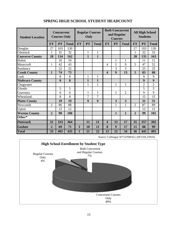| <b>Student Location</b> |                | <b>Concurrent</b><br><b>Courses Only</b> |              |              |                  | <b>Both Concurrent</b><br><b>Regular Courses</b><br>and Regular<br>Only<br><b>Courses</b> |                         |                  |                | <b>All High School</b><br><b>Students</b> |                |                |
|-------------------------|----------------|------------------------------------------|--------------|--------------|------------------|-------------------------------------------------------------------------------------------|-------------------------|------------------|----------------|-------------------------------------------|----------------|----------------|
|                         | <b>FT</b>      | PT                                       | <b>Total</b> | <b>FT</b>    | <b>PT</b>        | <b>Total</b>                                                                              | <b>FT</b>               | <b>PT</b>        | <b>Total</b>   | <b>FT</b>                                 | PT             | <b>Total</b>   |
| Douglas                 | 27             | 103                                      | 130          |              |                  |                                                                                           |                         |                  |                | 27                                        | 103            | 130            |
| Glenrock                | 1              | 31                                       | 32           |              | 1                | 1                                                                                         |                         |                  |                | 1                                         | 32             | 33             |
| <b>Converse County</b>  | 28             | 134                                      | 162          |              | 1                | $\overline{1}$                                                                            |                         |                  |                | 28                                        | 135            | 163            |
| Hulett                  |                | 10                                       | 10           |              |                  |                                                                                           |                         | 1                | 1              |                                           | 11             | 11             |
| Moorcroft               | $\mathbf{1}$   | 42                                       | 43           |              |                  |                                                                                           | 4                       | 5                | 9              | 5                                         | 47             | 52             |
| Sundance                |                | 22                                       | 22           |              |                  |                                                                                           |                         | 3                | 3              |                                           | 25             | 25             |
| <b>Crook County</b>     | $\mathbf{1}$   | 74                                       | 75           |              |                  |                                                                                           | $\overline{\mathbf{4}}$ | 9                | 13             | 5                                         | 83             | 88             |
| Lusk                    |                | 8                                        | 8            |              | $\mathbf{1}$     | $\mathbf{1}$                                                                              |                         |                  |                |                                           | 9              | 9              |
| <b>Niobrara County</b>  |                | 8                                        | 8            |              | $\mathbf{1}$     | $\mathbf{1}$                                                                              |                         |                  |                |                                           | 9              | 9              |
| Chugwater               |                |                                          |              |              | 1                | 1                                                                                         |                         | 1                | 1              |                                           | $\overline{2}$ | $\overline{2}$ |
| Glendo                  |                | 5                                        | 5            |              |                  |                                                                                           |                         |                  |                |                                           | 5              | 5              |
| Guernsey                |                | 6                                        | 6            |              | $\mathbf{1}$     | $\mathbf{1}$                                                                              |                         | $\overline{2}$   | $\overline{2}$ |                                           | $\mathbf Q$    | 9              |
| Wheatland               |                | 8                                        | 8            |              | $\overline{7}$   | $\overline{7}$                                                                            |                         |                  |                |                                           | 15             | 15             |
| <b>Platte County</b>    |                | 19                                       | 19           |              | $\boldsymbol{9}$ | $\boldsymbol{9}$                                                                          |                         | 3                | 3              |                                           | 31             | 31             |
| Newcastle               | $\overline{2}$ | 86                                       | 88           |              |                  |                                                                                           |                         | 1                | 1              | $\overline{2}$                            | 87             | 89             |
| Upton                   |                | 12                                       | 12           |              |                  |                                                                                           |                         |                  |                |                                           | 12             | 12             |
| <b>Weston County</b>    | $\overline{2}$ | 98                                       | 100          |              |                  |                                                                                           |                         | $\mathbf{1}$     | $\mathbf{1}$   | $\overline{2}$                            | 99             | 101            |
| Other*                  |                |                                          |              |              |                  |                                                                                           |                         |                  |                |                                           |                |                |
| <b>Outreach</b>         | 31             | 333                                      | 364          |              | 11               | 11                                                                                        | $\overline{\mathbf{4}}$ | 13               | 17             | 35                                        | 357            | 392            |
| Goshen                  | $\overline{2}$ | 69                                       | 71           | $\mathbf{1}$ | 10               | 11                                                                                        | 8                       | $\boldsymbol{9}$ | 17             | 11                                        | 88             | 99             |
| <b>Total</b>            | 33             | 402                                      | 435          | 1            | $\overline{21}$  | $\overline{22}$                                                                           | $\overline{12}$         | $\overline{22}$  | 34             | 46                                        | 445            | 491            |

## **SPRING HIGH SCHOOL STUDENT HEADCOUNT**

Source: Colleague W73.ENROLL.DETAIL.FINAL

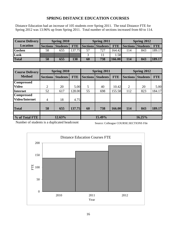## **SPRING DISTANCE EDUCATION COURSES**

Distance Education had an increase of 105 students over Spring 2011. The total Distance FTE for Spring 2012 was 13.96% up from Spring 2011. Total number of sections increased from 60 to 114.

| <b>Course Delivery</b> |    | <b>Spring 2010</b> |            | Spring 2012<br>Spring 2011 |                   |        |     |                              |            |
|------------------------|----|--------------------|------------|----------------------------|-------------------|--------|-----|------------------------------|------------|
| <b>Location</b>        |    | Sections Students  | <b>FTE</b> |                            | Sections Students |        |     | <b>FTE</b> Sections Students | <b>FTE</b> |
| <b>Goshen</b>          | 58 | 655                | 137.75     |                            | 727               | 164.42 | 114 | 843                          | 189.17     |
| Lusk                   |    |                    |            |                            |                   | .58    |     |                              |            |
| <b>Total</b>           | 58 | 655                | 138        | 60                         | 738               | 166.00 | 114 | 843                          | 189.17     |

| <b>Course Delivery</b> |                 | Spring 2010     |            |                 | Spring 2011     |            |                 | Spring 2012     |            |  |
|------------------------|-----------------|-----------------|------------|-----------------|-----------------|------------|-----------------|-----------------|------------|--|
| <b>Method</b>          | <b>Sections</b> | <b>Students</b> | <b>FTE</b> | <b>Sections</b> | <b>Students</b> | <b>FTE</b> | <b>Sections</b> | <b>Students</b> | <b>FTE</b> |  |
| <b>Compressed</b>      |                 |                 |            |                 |                 |            |                 |                 |            |  |
| <b>Video</b>           | 2               | 20              | 5.00       | 5               | 40              | 10.42      | 2               | 20              | 5.00       |  |
| Internet               | 52              | 617             | 128.00     | 55              | 698             | 155.58     | 112             | 823             | 184.17     |  |
| <b>Compressed</b>      |                 |                 |            |                 |                 |            |                 |                 |            |  |
| <b>Video/Internet</b>  | $\overline{4}$  | 18              | 4.75       |                 |                 |            |                 |                 |            |  |
| <b>Total</b>           | 58              | 655             | 137.75     | 60              | 738             | 166.00     | 114             | 843             | 189.17     |  |
|                        |                 |                 |            |                 |                 |            |                 |                 |            |  |
| % of Total FTE         | 12.63%          |                 |            |                 | 15.49%          |            |                 | 16.25%          |            |  |

Number of students is a duplicated headcount

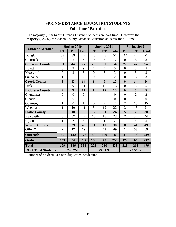# **SPRING DISTANCE EDUCATION STUDENTS Full-Time / Part-time**

| The majority (82.8%) of Outreach Distance Students are part-time. However, the |  |  |
|--------------------------------------------------------------------------------|--|--|
| majority (72.6%) of Goshen County Distance Education students are full-time.   |  |  |

|                         |                  | <b>Spring 2010</b> |                |                         | Spring 2011    |                |                | Spring 2012    |                |
|-------------------------|------------------|--------------------|----------------|-------------------------|----------------|----------------|----------------|----------------|----------------|
| <b>Student Location</b> | <b>FT</b>        | PT                 | <b>Total</b>   | <b>FT</b>               | PT             | <b>Total</b>   | <b>FT</b>      | <b>PT</b>      | <b>Total</b>   |
| Douglas                 | 33               | 39                 | 72             | 23                      | 28             | 51             | 27             | 44             | 71             |
| Glenrock                | $\overline{0}$   | 5                  | 5              | $\overline{0}$          | 3              | $\overline{3}$ | $\overline{0}$ | 3              | 3              |
| <b>Converse County</b>  | 33               | 44                 | 77             | 23                      | 31             | 54             | 27             | 47             | 74             |
| Hulett                  | $\overline{0}$   | 9                  | 9              | $\mathbf{1}$            | $\overline{4}$ | 5              | $\overline{0}$ | 8              | 8              |
| Moorcroft               | $\boldsymbol{0}$ | 3                  | 3              | $\overline{0}$          | 3              | 3              | $\overline{0}$ | 3              | 3              |
| Sundance                | $\mathbf{1}$     | $\mathbf{1}$       | $\overline{2}$ | $\mathbf{0}$            | $\overline{2}$ | $\overline{2}$ | $\overline{0}$ | 3              | 3              |
| <b>Crook County</b>     | $\mathbf{1}$     | 13                 | 14             | $\mathbf{1}$            | 9              | 10             | $\mathbf{0}$   | 14             | 14             |
| Lusk                    | $\overline{2}$   | 9                  | 11             | $\mathbf{1}$            | 15             | 16             | $\overline{0}$ | 5              | 5              |
| <b>Niobrara County</b>  | $\overline{2}$   | 9                  | 11             | $\mathbf{1}$            | 15             | 16             | $\bf{0}$       | 5              | 5              |
| Chugwater               | $\overline{0}$   | $\overline{0}$     | $\overline{0}$ |                         |                | $\overline{0}$ | $\overline{0}$ | $\overline{2}$ | $\overline{2}$ |
| Glendo                  | $\boldsymbol{0}$ | $\overline{0}$     | $\overline{0}$ |                         |                | $\overline{0}$ | $\overline{0}$ |                | $\overline{0}$ |
| Guernsey                | $\mathbf{1}$     | $\overline{0}$     | 1              | $\overline{0}$          | $\overline{2}$ | $\overline{2}$ | $\overline{2}$ | 13             | 15             |
| Wheatland               | $\mathbf{1}$     | 10                 | 11             | 3                       | 19             | 22             | 3              | 18             | 21             |
| <b>Platte County</b>    | $\overline{2}$   | 10                 | 12             | 3                       | 21             | 24             | 5              | 33             | 38             |
| Newcastle               | 5                | 37                 | 42             | 10                      | 18             | 28             | $\overline{7}$ | 37             | 44             |
| Upton                   | $\mathbf{1}$     | $\overline{2}$     | 3              | $\mathbf{1}$            | $\mathbf{1}$   | $\overline{2}$ | $\mathbf{1}$   | $\overline{4}$ | 5              |
| <b>Weston County</b>    | 6                | 39                 | 45             | 11                      | 19             | 30             | 8              | 41             | 49             |
| Other*                  | $\overline{2}$   | 17                 | 19             | $\overline{\mathbf{4}}$ | 45             | 49             | $\mathbf{1}$   | 58             | 59             |
| <b>Outreach</b>         | 46               | 132                | 178            | 43                      | 140            | 183            | 41             | 198            | 239            |
| Goshen                  | 153              | 54                 | 207            | 180                     | 70             | 250            | 172            | 65             | 237            |
| <b>Total</b>            | 199              | 186                | 385            | 223                     | 210            | 433            | 213            | 263            | 476            |
| % of Total Students     |                  | 24.02%             |                |                         | 25.01%         |                | 25.55%         |                |                |

Number of Students is a non-duplicated headcount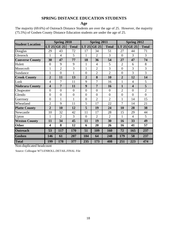# **SPRING DISTANCE EDUCATION STUDENTS**

**Age**

| The majority (69.6%) of Outreach Distance Students are over the age of 25. However, the majority |  |
|--------------------------------------------------------------------------------------------------|--|
| (75.5%) of Goshen County Distance Education students are under the age of 25.                    |  |

|                         |                         | Spring 2010    |                |                | <b>Spring 2011</b> |                |                | Spring 2012             |                |
|-------------------------|-------------------------|----------------|----------------|----------------|--------------------|----------------|----------------|-------------------------|----------------|
| <b>Student Location</b> | LT 25                   | <b>GE 25</b>   | <b>Total</b>   | LT 25          | <b>GE 25</b>       | <b>Total</b>   | LT 25          | <b>GE 25</b>            | <b>Total</b>   |
| Douglas                 | 29                      | 43             | 72             | 17             | 34                 | 51             | 27             | 44                      | 71             |
| Glenrock                | 1                       | $\overline{4}$ | 5              | 1              | $\overline{2}$     | 3              | $\overline{0}$ | 3                       | 3              |
| <b>Converse County</b>  | 30                      | 47             | 77             | 18             | 36                 | 54             | 27             | 47                      | 74             |
| Hulett                  | $\overline{0}$          | 9              | 9              | $\mathbf{1}$   | $\overline{4}$     | 5              | $\overline{2}$ | 6                       | 8              |
| Moorcroft               | 1                       | $\overline{2}$ | 3              | 1              | $\overline{2}$     | 3              | $\overline{0}$ | 3                       | 3              |
| Sundance                | 1                       | $\overline{0}$ | $\mathbf{1}$   | $\overline{0}$ | $\overline{2}$     | $\overline{2}$ | $\overline{0}$ | 3                       | 3              |
| <b>Crook County</b>     | $\overline{2}$          | 11             | 13             | $\overline{2}$ | 8                  | 10             | $\overline{2}$ | 12                      | 14             |
| Lusk                    | $\overline{4}$          | 7              | 11             | 9              | 7                  | 16             | $\mathbf{1}$   | $\overline{4}$          | 5              |
| <b>Niobrara County</b>  | $\overline{\mathbf{4}}$ | 7              | 11             | 9              | 7                  | 16             | $\mathbf{1}$   | $\overline{\mathbf{4}}$ | 5              |
| Chugwater               | $\overline{0}$          | $\overline{0}$ | $\overline{0}$ | $\overline{0}$ | $\overline{0}$     | $\overline{0}$ | $\overline{2}$ | $\overline{0}$          | $\overline{2}$ |
| Glendo                  | $\overline{0}$          | $\overline{0}$ | $\overline{0}$ | $\overline{0}$ | $\overline{0}$     | $\overline{0}$ | $\overline{0}$ | $\overline{0}$          | $\overline{0}$ |
| Guernsey                | $\overline{0}$          | 1              | $\mathbf{1}$   | $\overline{0}$ | $\overline{2}$     | $\overline{2}$ | 1              | 14                      | 15             |
| Wheatland               | $\overline{2}$          | 9              | 11             | 5              | 17                 | 22             | 7              | 14                      | 21             |
| <b>Platte County</b>    | $\overline{2}$          | 10             | 12             | 5              | 19                 | 24             | 10             | 28                      | 38             |
| Newcastle               | 10                      | 32             | 42             | 11             | 17                 | 28             | 15             | 29                      | 44             |
| Upton                   | 1                       | $\overline{2}$ | 3              | $\theta$       | $\overline{2}$     | $\overline{2}$ | 1              | $\overline{4}$          | 5              |
| <b>Weston County</b>    | 11                      | 34             | 45             | 11             | 19                 | 30             | 16             | 33                      | 49             |
| <b>Other</b>            | $\overline{\mathbf{4}}$ | 8              | 12             | 6              | 20                 | 26             | 16             | 41                      | 57             |
| <b>Outreach</b>         | 53                      | 117            | 170            | 51             | 109                | 160            | 72             | 165                     | 237            |
| <b>Goshen</b>           | 146                     | 61             | 207            | 184            | 64                 | 248            | 179            | 58                      | 237            |
| <b>Total</b>            | 199                     | 178            | 377            | 235            | 173                | 408            | 251            | 223                     | 474            |

Non-duplicated headcount

Source: Colleague W73.ENROLL.DETAIL.FINAL File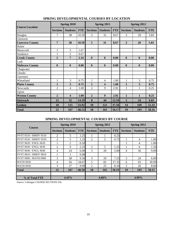| <b>Course Location</b> |                 | Spring 2010             |            |                 | Spring 2011     |            |                 | Spring 2012      |            |
|------------------------|-----------------|-------------------------|------------|-----------------|-----------------|------------|-----------------|------------------|------------|
|                        | <b>Sections</b> | <b>Students</b>         | <b>FTE</b> | <b>Sections</b> | <b>Students</b> | <b>FTE</b> | <b>Sections</b> | <b>Students</b>  | <b>FTE</b> |
| Douglas                | 7               | 38                      | 10.50      | 5               | 31              | 8.67       | 3               | 20               | 5.83       |
| Glenrock               |                 |                         |            |                 |                 |            |                 |                  |            |
| <b>Converse County</b> | $\overline{7}$  | 38                      | 10.50      | 5               | 31              | 8.67       | 3               | 20               | 5.83       |
| Hulett                 |                 |                         |            |                 |                 |            |                 |                  |            |
| Moorcroft              | $\mathbf{1}$    | 5                       | 1.67       |                 |                 |            |                 |                  |            |
| Sundance               |                 | $\overline{2}$          | 0.67       |                 |                 |            |                 |                  |            |
| <b>Crook County</b>    | $\overline{2}$  | 7                       | 2.34       | $\bf{0}$        | $\bf{0}$        | 0.00       | $\mathbf{0}$    | $\boldsymbol{0}$ | 0.00       |
| Lusk                   |                 |                         |            |                 |                 |            |                 |                  |            |
| <b>Niobrara County</b> | $\mathbf{0}$    | $\mathbf{0}$            | 0.00       | $\bf{0}$        | $\mathbf{0}$    | 0.00       | $\mathbf{0}$    | $\mathbf{0}$     | 0.00       |
| Chugwater              |                 |                         |            |                 |                 |            |                 |                  |            |
| Glendo                 |                 |                         |            |                 |                 |            |                 |                  |            |
| Guernsey               |                 |                         |            |                 |                 |            |                 |                  |            |
| Wheatland              | $\mathbf{1}$    | 3                       | 0.75       | 1               | $\overline{4}$  | 1.00       | $\mathbf{1}$    | 3                | 0.75       |
| <b>Platte County</b>   | $\mathbf{1}$    | $\overline{\mathbf{3}}$ | 0.75       | $\mathbf{1}$    | 4               | 1.00       | $\mathbf{1}$    | 3                | 0.75       |
| Newcastle              | $\overline{2}$  | $\overline{4}$          | 1.00       | 2               | 9               | 2.92       | 1               | 1                | 0.25       |
| Upton                  |                 |                         |            |                 |                 |            |                 |                  |            |
| <b>Weston County</b>   | $\overline{2}$  | $\overline{\mathbf{4}}$ | 1.00       | $\overline{2}$  | 9               | 2.92       | $\mathbf{1}$    | $\mathbf{1}$     | 0.25       |
| <b>Outreach</b>        | 12              | 52                      | 14.59      | 8               | 44              | 12.59      | 5               | 24               | 6.83       |
| <b>Goshen</b>          | 10              | 115                     | 33.92      | 10              | 121             | 37.58      | 14              | 169              | 51.33      |
| <b>Total</b>           | 22              | 167                     | 48.51      | 18              | 165             | 50.17      | 19              | 193              | 58.16      |

### **SPRING DEVELOPMENTAL COURSES BY LOCATION**

#### **SPRING DEVELOPMENTAL COURSES BY COURSE**

| <b>Course</b>                |                 | Spring 2010     |            |                 | Spring 2011     |            | Spring 2012     |                 |            |  |
|------------------------------|-----------------|-----------------|------------|-----------------|-----------------|------------|-----------------|-----------------|------------|--|
|                              | <b>Sections</b> | <b>Students</b> | <b>FTE</b> | <b>Sections</b> | <b>Students</b> | <b>FTE</b> | <b>Sections</b> | <b>Students</b> | <b>FTE</b> |  |
| DVST 0510 / HMDV 0510        | 2               | 5.              | 1.25       |                 |                 | 0.25       |                 |                 |            |  |
| <b>DVST 0520 / HMDV 0520</b> | 2               | 5.              | 1.25       | 2               | 3               | 0.75       |                 | 4               | 1.00       |  |
| DVST 0620 / ENGL 0620        |                 | 2               | 0.50       |                 |                 |            |                 | 4               | 1.00       |  |
| DVST 0630 / ENGL 0630        | 2               | 9               | 2.25       | 2               | 5               | 1.25       |                 | 6               | 1.50       |  |
| DVST 0640 / ENGL 0640        | 4               | 24              | 6.00       | 3               | 20              | 5.00       | 4               | 36              | 9.00       |  |
| DVST 0810 / HMDV 0810        |                 |                 | 0.08       |                 |                 |            |                 |                 |            |  |
| DVST 0900 / MATH 0900        | 3               | 38              | 9.50       | 3               | 29              | 7.25       | 3               | 24              | 6.00       |  |
| <b>MATH 0920</b>             | 4               | 56              | 18.67      | 5               | 82              | 27.35      | 6               | 93              | 30.99      |  |
| <b>MATH 0930</b>             | 3               | 27              | 9.00       | 2               | 25              | 8.34       | 3               | 26              | 8.66       |  |
| <b>Total</b>                 | 22              | 167             | 48.50      | 18              | 165             | 50.19      | 19              | 193             | 58.15      |  |
| % of Total FTE               | 4.45%           |                 |            | 4.68%           |                 |            | 4.99%           |                 |            |  |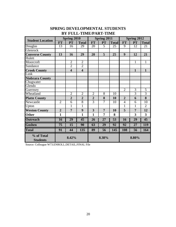#### **FT | PT | Total | FT | PT | Total | FT | PT | Total** Douglas 13 16 29 20 5 25 9 12 21 **Glenrock Converse County** 13 16 29 20 5 25 9 12 21 Hulett Moorcroft 2 2 11 Sundance 2 2 2 **Crook County 4 4 11** Lusk **Niobrara County** Chugwater Glendo Guernsey 235 Wheatland 1 2 2 2 8 10 3 3 **Platte County** 2 2 2 2 8 10 2 6 8 Newcastle 2 6 8 3 7 10 4 6 10 Upton 1 1 1 1 1 1 1 2 **Weston County | 2 | 7 | 9 | 3 | 7 | 10 | 5 | 7 | 12 Other** 1 1 1 1 1 7 8 3 3 **Outreach** 16 29 45 26 27 53 16 29 45 **Goshen 75 15 90 63 29 92 92 27 119 Total 91 44 135 89 56 145 108 56 164 % of Total Students Student Location**<br> **Spring 2010**<br> **Spring 2011**<br> **Spring 2012**<br> **Spring 2012**<br> **Spring 2012**<br> **FT** | **PT** | Total | **FT** | **PT** | Total | **FT** | **PT** | Total **8.42% 8.38% 8.80%**

## **SPRING DEVELOPMENTAL STUDENTS BY FULL-TIME/PART-TIME**

Source: Colleague W73.ENROLL.DETAIL.FINAL File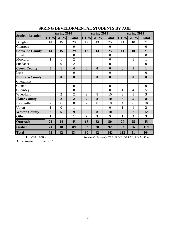|                         |                  | Spring 2010      |                         |                  | Spring 2011      |                  |                  | Spring 2012      |                  |
|-------------------------|------------------|------------------|-------------------------|------------------|------------------|------------------|------------------|------------------|------------------|
| <b>Student Location</b> | LT 25            | <b>GE 25</b>     | <b>Total</b>            |                  | LT $25$ GE $25$  | <b>Total</b>     |                  | LT 25 GE 25      | <b>Total</b>     |
| Douglas                 | 14               | 15               | 29                      | 12               | 13               | 25               | 11               | 10               | 21               |
| Glenrock                |                  |                  | $\overline{0}$          |                  |                  | $\overline{0}$   |                  |                  | $\overline{0}$   |
| <b>Converse County</b>  | 14               | 15               | 29                      | 12               | 13               | 25               | 11               | <b>10</b>        | 21               |
| Hulett                  |                  |                  | $\overline{0}$          |                  |                  | $\overline{0}$   |                  |                  | $\overline{0}$   |
| Moorcroft               | $\mathbf{1}$     | $\mathbf{1}$     | $\overline{2}$          |                  |                  | $\overline{0}$   |                  | $\mathbf{1}$     | 1                |
| Sundance                | $\overline{2}$   | $\overline{0}$   | $\overline{2}$          |                  |                  | $\overline{0}$   |                  |                  | $\overline{0}$   |
| <b>Crook County</b>     | 3                | 1                | $\overline{\mathbf{4}}$ | $\boldsymbol{0}$ | $\boldsymbol{0}$ | $\boldsymbol{0}$ | $\boldsymbol{0}$ | $\mathbf{1}$     | 1                |
| Lusk                    |                  |                  | $\overline{0}$          |                  |                  | $\overline{0}$   |                  |                  | $\overline{0}$   |
| <b>Niobrara County</b>  | $\boldsymbol{0}$ | $\boldsymbol{0}$ | $\boldsymbol{0}$        | $\boldsymbol{0}$ | $\boldsymbol{0}$ | $\boldsymbol{0}$ | $\boldsymbol{0}$ | $\boldsymbol{0}$ | $\boldsymbol{0}$ |
| Chugwater               |                  |                  |                         |                  |                  |                  |                  |                  |                  |
| Glendo                  |                  |                  | $\overline{0}$          |                  |                  | $\overline{0}$   |                  |                  | $\boldsymbol{0}$ |
| Guernsey                |                  |                  | $\overline{0}$          |                  |                  | $\overline{0}$   | 1                | 4                | 5                |
| Wheatland               |                  | $\overline{2}$   | $\overline{2}$          | $\overline{2}$   | 8                | 10               | $\overline{2}$   | $\mathbf{1}$     | 3                |
| <b>Platte County</b>    | $\boldsymbol{0}$ | $\overline{2}$   | $\overline{2}$          | $\overline{2}$   | 8                | 10               | 3                | 5                | 8                |
| Newcastle               | $\overline{2}$   | 6                | 8                       | $\overline{2}$   | 8                | 10               | $\overline{4}$   | 6                | 10               |
| Upton                   | $\mathbf{1}$     | $\overline{0}$   | $\mathbf{1}$            |                  |                  | $\overline{0}$   | 1                | $\mathbf{1}$     | $\overline{2}$   |
| <b>Weston County</b>    | 3                | 6                | 9                       | $\overline{2}$   | 8                | 10               | 5                | $\overline{7}$   | 12               |
| <b>Other</b>            | $\mathbf{1}$     |                  | $\mathbf{1}$            | $\boldsymbol{2}$ | 3                | 5                | $\mathbf{1}$     | $\overline{2}$   | 3                |
| <b>Outreach</b>         | 21               | 24               | 45                      | 18               | 32               | 50               | 20               | 25               | 45               |
| <b>Goshen</b>           | 71               | 18               | 89                      | 62               | 30               | 92               | 93               | 26               | 119              |
| <b>Total</b>            | 92               | 42               | 134                     | 80               | 62               | 142              | 113              | 51               | 164              |

#### **SPRING DEVELOPMENTAL STUDENTS BY AGE**

LT- Less Than 25

Source: Colleague W73.ENROLL.DETAIL.FINAL File

GE- Greater or Equal to 25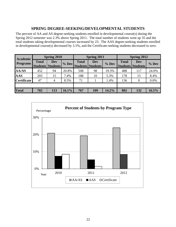#### **SPRING DEGREE-SEEKING/DEVELOPMENTAL STUDENTS**

The percent of AA and AS degree-seeking students enrolled in developmental course(s) during the Spring 2012 semester was 2.3% above Spring 2011. The total number of students went up 35 and the total students taking developmental courses increased by 23. The AAS degree-seeking students enrolled in developmental course(s) decreased by 3.1%, and the Certificate-seeking students decreased to zero.

| <b>Academic</b>    |              | <b>Spring 2010</b>       |       |              | Spring 2011              |         |                          | <b>Spring 2012</b> |         |  |
|--------------------|--------------|--------------------------|-------|--------------|--------------------------|---------|--------------------------|--------------------|---------|--|
| <b>Programs</b>    | <b>Total</b> | <b>Dev</b>               | % Dev | <b>Total</b> | <b>Dev</b>               | $%$ Dev | <b>Total</b>             | <b>Dev</b>         | $%$ Dev |  |
|                    |              | <b>Students Students</b> |       |              | <b>Students Students</b> |         | <b>Students Students</b> |                    |         |  |
| <b>AA/AS</b>       | 452          | 94                       | 20.8% | 508          | 98                       | 19.3%   | 488                      | 117                | 24.0%   |  |
| <b>AAS</b>         | 203          | 15                       | 7.4%  | 188          | 10                       | 5.3%    | 178                      | 15                 | 8.4%    |  |
| <b>Certificate</b> | 47           | $\overline{4}$           | 8.5%  | 71           |                          | 1.4%    | 136                      | $\theta$           | $0.0\%$ |  |
|                    |              |                          |       |              |                          |         |                          |                    |         |  |
| <b>Total</b>       | 702          | 113                      | 16.1% | 767          | 109                      | 14.2%   | 802                      | 132                | 16.5%   |  |

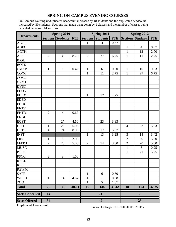## **SPRING ON-CAMPUS EVENING COURSES**

On-Campus Evening unduplicated headcount increased by 18 students and the duplicated headcount increased by 30 students. Sections that made went down by 1 classes and the number of classes being canceled decreased 14 sections.

| <b>Departments</b>     |                | <b>Spring 2010</b>       |            |                | <b>Spring 2011</b>       |            |                | Spring 2012              |            |  |  |
|------------------------|----------------|--------------------------|------------|----------------|--------------------------|------------|----------------|--------------------------|------------|--|--|
|                        |                | <b>Sections Students</b> | <b>FTE</b> |                | <b>Sections Students</b> | <b>FTE</b> |                | <b>Sections Students</b> | <b>FTE</b> |  |  |
| <b>ACCT</b>            |                |                          |            | $\mathbf{1}$   | $\overline{4}$           | 0.67       |                |                          |            |  |  |
| <b>AGEC</b>            |                |                          |            |                |                          |            | $\mathbf{1}$   | $\overline{4}$           | 0.67       |  |  |
| <b>AGTK</b>            |                |                          |            |                |                          |            | $\mathbf{1}$   | 12                       | 2.00       |  |  |
| <b>ART</b>             | $\overline{2}$ | 35                       | 8.75       | $\mathbf{2}$   | 27                       | 6.75       | $\mathbf{1}$   | 11                       | 2.75       |  |  |
| <b>BIOL</b>            |                |                          |            |                |                          |            |                |                          |            |  |  |
| <b>BOTK</b>            |                |                          |            |                |                          |            |                |                          |            |  |  |
| <b>CMAP</b>            | $\mathbf{1}$   | 5                        | 0.42       | $\mathbf{1}$   | 6                        | 0.50       | $\mathbf{1}$   | 10                       | 0.83       |  |  |
| CO/M                   |                |                          |            | $\mathbf{1}$   | 11                       | 2.75       | $\mathbf{1}$   | 27                       | 6.75       |  |  |
| COSC                   |                |                          |            |                |                          |            |                |                          |            |  |  |
| <b>CRMJ</b>            |                |                          |            |                |                          |            |                |                          |            |  |  |
| <b>DVST</b>            |                |                          |            |                |                          |            |                |                          |            |  |  |
| <b>ECON</b>            |                |                          |            |                |                          |            |                |                          |            |  |  |
| <b>EDEX</b>            |                |                          |            | $\mathbf{1}$   | 17                       | 4.25       |                |                          |            |  |  |
| <b>EDFD</b>            |                |                          |            |                |                          |            |                |                          |            |  |  |
| <b>EDUC</b>            |                |                          |            |                |                          |            |                |                          |            |  |  |
| <b>ENTK</b>            |                |                          |            |                |                          |            |                |                          |            |  |  |
| <b>ENTR</b>            | $\overline{2}$ | $\overline{4}$           | 0.67       |                |                          |            |                |                          |            |  |  |
| <b>ENGL</b>            |                |                          |            |                |                          |            |                |                          |            |  |  |
| <b>EQST</b>            | $\overline{4}$ | 27                       | 4.50       | $\overline{4}$ | 23                       | 3.83       |                |                          |            |  |  |
| <b>HIST</b>            | $\mathbf{1}$   | 20                       | 5.00       |                |                          |            | $\overline{4}$ | 32                       | 5.33       |  |  |
| <b>HLTK</b>            | $\overline{4}$ | 24                       | 8.00       | 3              | 17                       | 5.67       |                |                          |            |  |  |
| <b>INST</b>            |                |                          |            | $\mathbf{1}$   | 13                       | 3.25       | $\mathfrak{Z}$ | 14                       | 3.42       |  |  |
| <b>LIBS</b>            | 1              | 8                        | 2.00       |                |                          |            | $\overline{2}$ | 20                       | 5.00       |  |  |
| <b>MATH</b>            | $\overline{2}$ | 20                       | 5.00       | $\mathbf{2}$   | 14                       | 3.50       | $\overline{c}$ | 20                       | 5.00       |  |  |
| <b>MUSC</b>            |                |                          |            |                |                          |            | $\mathbf{1}$   | 3                        | 0.25       |  |  |
| <b>POLS</b>            |                |                          |            |                |                          |            | $\mathbf{1}$   | 21                       | 5.25       |  |  |
| PSYC<br>REAL           | $\mathbf{2}$   | 3                        | 1.00       |                |                          |            |                |                          |            |  |  |
|                        |                |                          |            |                |                          |            |                |                          |            |  |  |
| RELI                   |                |                          |            |                |                          |            |                |                          |            |  |  |
| <b>REWM</b>            |                |                          |            |                |                          |            |                |                          |            |  |  |
| <b>SAFE</b>            |                |                          |            | $\mathbf{1}$   | 6                        | 0.50       |                |                          |            |  |  |
| <b>WELD</b>            | $\mathbf{1}$   | 14                       | 4.67       | $\mathbf{1}$   | $\mathbf{1}$             | 0.08       |                |                          |            |  |  |
| Z <sub>0</sub>         |                |                          |            | $\mathbf{1}$   | 5                        | 1.67       |                |                          |            |  |  |
| <b>Total</b>           | 20             | 160                      | 40.01      | 19             | 144                      | 33.42      | 18             | 174                      | 37.25      |  |  |
| <b>Sects Cancelled</b> | 14             |                          |            |                | 21                       |            |                | $\overline{7}$           |            |  |  |
| <b>Sects Offered</b>   | 34             |                          |            |                | 40                       |            |                | 25                       |            |  |  |

Duplicated Headcount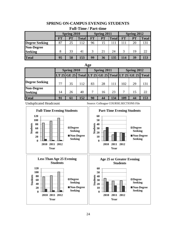## **SPRING ON-CAMPUS EVENING STUDENTS**

| r un-Thile / Tai t-unic |           |                    |              |           |                    |              |           |                    |              |  |  |
|-------------------------|-----------|--------------------|--------------|-----------|--------------------|--------------|-----------|--------------------|--------------|--|--|
|                         |           | <b>Spring 2010</b> |              |           | <b>Spring 2011</b> |              |           | <b>Spring 2012</b> |              |  |  |
|                         | <b>FT</b> | PT                 | <b>Total</b> | <b>FT</b> | PT                 | <b>Total</b> | <b>FT</b> | PT                 | <b>Total</b> |  |  |
| <b>Degree Seeking</b>   | 87        | 25                 | 112          | 96        | 15                 | .11          | 111       | 20                 | 131          |  |  |
| <b>Non-Degree</b>       |           |                    |              |           |                    |              |           |                    |              |  |  |
| <b>Seeking</b>          | 8         | 33                 | 41           | 3         | 21                 | 24           | 3         | 19                 | 22           |  |  |
| <b>Total</b>            | 95        | 58                 | 153          | 99        | 36                 | 135          | 114       | 39                 | 153          |  |  |

### **Full-Time / Part-time**

#### **Age**

|                                     |    | Spring 2010 |     |    | Spring 2011 |     | Spring 2012 |                                                       |     |  |
|-------------------------------------|----|-------------|-----|----|-------------|-----|-------------|-------------------------------------------------------|-----|--|
|                                     |    |             |     |    |             |     |             | LT 25 GE 25 Total LT 25 GE 25 Total LT 25 GE 25 Total |     |  |
| <b>Degree Seeking</b>               | 77 | 35          | 112 | 83 | 28          | 111 | 102         | 29                                                    | 131 |  |
| <b>Non-Degree</b><br><b>Seeking</b> | 14 | 26          | 40  |    | 16          | 23  |             |                                                       | 22. |  |
| <b>Total</b>                        | 91 | 61          | 152 | 90 | 44          | 134 | 109         | 44                                                    |     |  |

Unduplicated Headcount

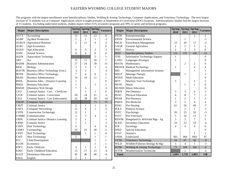#### EASTERN WYOMING COLLEGE STUDENT MAJORS

The programs with the largest enrollments were Interdisciplinary Studies, Welding & Joining Technology, Computer Applications, and Veterinary Technology. The next largest increase of 73 students was in Computer Applications which is taught primailry at Department of Corrections (DOC) locations. Interdisciplinary Studies had the largest decrease of 15 students. Excluding undeclared students, student majors reflect 61% in transfer programs and 39% in career and technical programs.

| <b>Major</b> | <b>Major Description</b>               | 2010           | Spring Spring Spring<br>2011 | 2012           | <b>Variance</b>  | <b>Major</b> | <b>Major Description</b>              | 2010           | Spring Spring Spring<br>2011 | 2012           | <b>Variance</b>          |
|--------------|----------------------------------------|----------------|------------------------------|----------------|------------------|--------------|---------------------------------------|----------------|------------------------------|----------------|--------------------------|
| <b>ACCT</b>  | Accounting                             | 15             | 12                           | 12             | $\mathbf{0}$     | <b>ENTR</b>  | Entrepreneurship                      |                |                              | 2              | 2                        |
| <b>AGBP</b>  | Ag Beef Production                     | $\overline{2}$ | $\overline{2}$               | $\mathbf{1}$   | $-1$             | <b>ENVR</b>  | <b>Environmental Science</b>          |                | 1                            |                | $-1$                     |
| <b>AGBUS</b> | <b>Agricultural Business</b>           | 5              | 11                           | 9              | $-2$             | <b>FRCH</b>  | Farm/Ranch Management                 | 23             | 20                           | 17             | $-3$                     |
| <b>AGEC</b>  | Agri-Economics                         |                |                              |                | $\boldsymbol{0}$ | <b>GAGR</b>  | General Agriculture                   | $\overline{2}$ | $\overline{2}$               | 3              | 1                        |
| <b>AGED</b>  | Agri-Education                         | 6              | 3                            | $\overline{c}$ | $-1$             | <b>HIST</b>  | History                               | $\overline{2}$ | $\overline{3}$               | $\overline{3}$ | $\theta$                 |
| <b>ANSC</b>  | Animal Science                         | 8              | $\overline{4}$               | 8              | $\overline{4}$   | <b>INST</b>  | <b>Interdisciplinary Studies</b>      | 122            | 155                          | 140            | $-15$                    |
| <b>AQTK</b>  | <b>Aquaculture Technolgy</b>           |                |                              | 5              | 5                | <b>ITSS</b>  | <b>Information Technology Support</b> | 1              |                              |                | $\theta$                 |
| <b>ART</b>   | Art                                    | 15             | 11                           | 18             | $\overline{7}$   | <b>LANG</b>  | Languages (Foreign)                   |                |                              |                | $\overline{0}$           |
| <b>BADM</b>  | <b>Business Administration</b>         | 27             | 24                           | 39             | 15               | <b>MATH</b>  | Mathematics                           |                | $\overline{c}$               | $\overline{2}$ | $\theta$                 |
| <b>BIOL</b>  | <b>Biology</b>                         | 3              | 3                            | 1              | $-2$             |              | <b>MEDTK</b> Medical Technology       |                |                              | 4              | $\overline{\mathcal{A}}$ |
| <b>BOFTK</b> | Business Office Technology (Cert.)     | 3              | 3                            |                | $-3$             | <b>MIS</b>   | <b>Management Information Systems</b> |                |                              | -1             |                          |
| <b>BOTK</b>  | <b>Business Office Technology</b>      | 7              | $\overline{4}$               | 6              | $\overline{2}$   | <b>MSGT</b>  | Massage Therapy                       |                |                              |                | - 1                      |
| <b>BSAD</b>  | <b>Business Administration</b>         | 14             | 10                           | 11             | 1                | <b>MTED</b>  | <b>Math Education</b>                 |                |                              |                | $\theta$                 |
| <b>BSDL</b>  | Business Adm. - Distance Learning      | 1              |                              |                | $\boldsymbol{0}$ | <b>MTT</b>   | Machine Tool Technology               | 5              |                              | 2              | $\overline{2}$           |
| <b>BSED</b>  | <b>Business Education</b>              |                |                              | 1              |                  | <b>MUSC</b>  | Music                                 |                | 1                            |                | $\theta$                 |
| <b>BWEB</b>  | (Business) Web Design                  | 7              | 5                            |                | $-5$             | <b>MUSED</b> | <b>Music Education</b>                |                |                              |                | $\theta$                 |
| <b>CJCC</b>  | Criminal Justice - Corr. - Certificate |                | $\mathbf{1}$                 | 1              | $\mathbf{0}$     | <b>PDEN</b>  | Pre-Dentistry                         | 3              | 3                            | 4              |                          |
| <b>CJCR</b>  | Criminal Justice - Corrections         | 20             | 24                           | 21             | $-3$             | <b>PEAC</b>  | <b>Physical Education</b>             |                | 8                            | 7              | -1                       |
| <b>CJLE</b>  | Criminal Justice - Law Enforcement     | 32             | 39                           | 29             | $-10$            | <b>PHAR</b>  | Pre-Pharmacy                          |                | $\overline{2}$               | 1              | -1                       |
| <b>CMAP</b>  | <b>Computer Applications</b>           |                |                              | 73             | 73               | <b>PMED</b>  | Pre-Medicine                          | 3              | 5                            | 9              | $\overline{4}$           |
| <b>CMJT</b>  | <b>Criminal Justice</b>                | $\overline{c}$ | $\mathbf{1}$                 | 1              | $\mathbf{0}$     | <b>PNSG</b>  | Pre-Nursing                           | 61             | 56                           | 49             | $-7$                     |
| <b>CNET</b>  | <b>Computer Networking</b>             | 11             | 6                            | -1             | $-5$             | <b>POLS</b>  | <b>Political Science</b>              |                | $\overline{2}$               | 1              | $-1$                     |
| <b>CNTK</b>  | <b>Construction Technology</b>         | 12             | $\mathbf{1}$                 |                | $-1$             | <b>PSYC</b>  | Psychology                            | 20             | 23                           | 20             | $-3$                     |
| <b>COMM</b>  | Communication                          | $\overline{2}$ | 5                            | 4              | -1               | <b>PVET</b>  | Pre-Veterinary                        | 5              | 10                           | 13             | 3                        |
| <b>CRDL</b>  | Criminal Justice- Distance Learning    | $\overline{c}$ | 1                            |                | -1               | <b>REWM</b>  | Rangeland Ec & Wtrshd Mgt - Ag        | 3              | $\overline{c}$               | 7              | 5                        |
| <b>CRMJ</b>  | <b>Criminal Justice</b>                | 1              | 1                            |                | -1               | <b>SCED</b>  | <b>Secondary Education</b>            | 19             | 23                           | 19             | -4                       |
| <b>CSHT</b>  | Hair Technology                        | 4              |                              | 4              | $\overline{4}$   | <b>SOC</b>   | Sociology                             | $\overline{4}$ | $\overline{4}$               | $\overline{4}$ | $\mathbf{0}$             |
| <b>CSMO</b>  | Cosmetology                            | 25             | 25                           | 28             | 3                | <b>SPED</b>  | Special Education                     |                |                              |                | $\overline{0}$           |
| <b>CSNT</b>  | Nail Technology                        |                | $\mathbf{1}$                 | $\mathbf{1}$   | $\mathbf{0}$     | <b>STAT</b>  | <b>Statistics</b>                     |                |                              |                | $\mathbf{1}$             |
| <b>CSST</b>  | Skin Technology                        | 2              |                              | 1              |                  | <b>UNDE</b>  | Undeclared                            | 901            | 964                          | 1061           | 97                       |
| <b>ECC</b>   | Child Development                      |                |                              | $\mathbf{1}$   | 1                | <b>VTTK</b>  | Veterinary Technology                 | 54             | 67                           | 58             | $-9$                     |
| <b>ECON</b>  | Economics                              |                |                              | 1              | 1                | WILD         | Wildlife/Fisheries Biology & Mgt      | 5              | $\overline{4}$               |                | $-3$                     |
| <b>EDCC</b>  | <b>Early Childcare</b>                 | 4              | 1                            | 1              | $\mathbf{0}$     | <b>WJTK</b>  | Welding & Joining Technology          | 73             | 109                          | 100            | $-9$                     |
| <b>EDEC</b>  | Early Childhood Education              | 15             | 17                           | 13             | $-4$             | WTTK         | <b>Weatherization Technician</b>      |                | $\overline{2}$               |                | $-2$                     |
| <b>ELED</b>  | <b>Elementary Education</b>            | 42             | 46                           | 40             | -6               | <b>Total</b> |                                       | 1.603          | 1,731                        | 1,863          | <b>130</b>               |
| <b>ENGL</b>  | English                                | $\overline{2}$ | $\mathbf{1}$                 |                | $-1$             |              |                                       |                |                              |                |                          |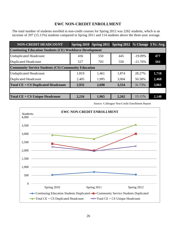## **EWC NON-CREDIT ENROLLMENT**

The total number of students enrolled in non-credit courses for Spring 2012 was 2262 students, which is an increase of 297 (15.11%) students compared to Spring 2011 and 114 students above the three-year average.

| <b>NON-CREDIT HEADCOUNT</b>                                     | Spring $2010$ |       | Spring 2011 Spring 2012 % Change 3 Yr. Avg. |            |       |  |  |  |  |  |  |
|-----------------------------------------------------------------|---------------|-------|---------------------------------------------|------------|-------|--|--|--|--|--|--|
| <b>Continuing Education Students (CE) Workforce Development</b> |               |       |                                             |            |       |  |  |  |  |  |  |
| <b>Unduplicated Headcount</b>                                   | 436           | 550   | 445                                         | $-19.09\%$ | 477   |  |  |  |  |  |  |
| <b>Duplicated Headcount</b>                                     | 527           | 703   | 550                                         | $-21.76%$  | 593   |  |  |  |  |  |  |
| <b>Community Service Students (CS) Community Education</b>      |               |       |                                             |            |       |  |  |  |  |  |  |
| <b>Unduplicated Headcount</b>                                   | 1,819         | 1,461 | 1,874                                       | 28.27%     | 1,718 |  |  |  |  |  |  |
| <b>Duplicated Headcount</b>                                     | 2,405         | 1,995 | 3,004                                       | 50.58%     | 2,468 |  |  |  |  |  |  |
| <b>Total CE + CS Duplicated Headcount</b>                       | 2,932         | 2,698 | 3,554                                       | 31.73%     | 3,061 |  |  |  |  |  |  |
|                                                                 |               |       |                                             |            |       |  |  |  |  |  |  |
| <b>Total CE + CS Unique Headcount</b>                           | 2,216         | 1,965 | 2,262                                       | 15.11%     | 2,148 |  |  |  |  |  |  |

Source: Colleague Non-Credit Enrollment Report

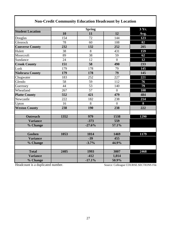| <b>Non-Credit Community Education Headcount by Location</b> |      |                     |                |      |  |  |  |  |  |  |
|-------------------------------------------------------------|------|---------------------|----------------|------|--|--|--|--|--|--|
| <b>Student Location</b>                                     |      | 3 Yr.               |                |      |  |  |  |  |  |  |
|                                                             | 10   | <b>Spring</b><br>11 | 12             | Avg. |  |  |  |  |  |  |
| Douglas                                                     | 154  | 72                  | 144            | 123  |  |  |  |  |  |  |
| Glenrock                                                    | 78   | 60                  | 108            | 82   |  |  |  |  |  |  |
| <b>Converse County</b>                                      | 232  | 132                 | 252            | 205  |  |  |  |  |  |  |
| Hulett                                                      | 38   | 8                   | 431            | 159  |  |  |  |  |  |  |
| Moorcroft                                                   | 89   | 38                  | 59             | 62   |  |  |  |  |  |  |
| Sundance                                                    | 24   | 12                  | $\overline{0}$ | 12   |  |  |  |  |  |  |
| <b>Crook County</b>                                         | 151  | 58                  | 490            | 233  |  |  |  |  |  |  |
| Lusk                                                        | 179  | 178                 | 79             | 145  |  |  |  |  |  |  |
| <b>Niobrara County</b>                                      | 179  | 178                 | 79             | 145  |  |  |  |  |  |  |
| Chugwater                                                   | 183  | 252                 | 227            | 221  |  |  |  |  |  |  |
| Glendo                                                      | 58   | 59                  | 112            | 76   |  |  |  |  |  |  |
| Guernsey                                                    | 44   | 53                  | 140            | 79   |  |  |  |  |  |  |
| Wheatland                                                   | 267  | 57                  | $\overline{0}$ | 108  |  |  |  |  |  |  |
| <b>Platte County</b>                                        | 552  | 421                 | 479            | 484  |  |  |  |  |  |  |
| Newcastle                                                   | 222  | 182                 | 238            | 214  |  |  |  |  |  |  |
| Upton                                                       | 16   | 8                   | $\overline{0}$ | 8    |  |  |  |  |  |  |
| <b>Weston County</b>                                        | 238  | 190                 | 238            | 222  |  |  |  |  |  |  |
| <b>Outreach</b>                                             | 1352 | 979                 | 1538           | 1290 |  |  |  |  |  |  |
| <b>Variance</b>                                             |      | $-373$              | 559            |      |  |  |  |  |  |  |
| % Change                                                    |      | $-27.6%$            | 57.1%          |      |  |  |  |  |  |  |
|                                                             |      |                     |                |      |  |  |  |  |  |  |
| <b>Goshen</b>                                               | 1053 | 1014                | 1469           | 1179 |  |  |  |  |  |  |
| <b>Variance</b>                                             |      | $-39$               | 455            |      |  |  |  |  |  |  |
| % Change                                                    |      | $-3.7%$             | 44.9%          |      |  |  |  |  |  |  |
| <b>Total</b>                                                | 2405 | 1993                | 3007           | 2468 |  |  |  |  |  |  |
| <b>Variance</b>                                             |      | $-412$              | 1,014          |      |  |  |  |  |  |  |
| % Change                                                    |      | $-17.1%$            | 50.9%          |      |  |  |  |  |  |  |

Headcount is a duplicated number.

Г

Source: Colleague COURSE.SECTIONS File

I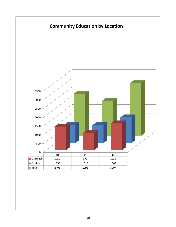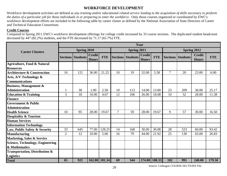## **WORKFORCE DEVELOPMENT**

Workforce development activities are defined as *any training and/or educational related service leading to the acquisition of skills necessary to perform the duties of a particular job for those individuals in or preparing to enter the workforce*. Only those courses organized or coordinated by EWC's workforce development efforts are included in the following table by career cluster as defined by the National Association of State Directors of Career and Technical Education Consortium.

#### **Credit Courses**

Compared to Spring 2011 EWC's workforce development offerings for college credit increased by 33 course sections. The duplicated student headcount decreased by 447 (82.2%) students, and the FTE decreased by 71.17 (65.7%) FTE.

|                                                            |                |                          |                               |               |    |                          | Year                          |               |                          |     |                               |            |
|------------------------------------------------------------|----------------|--------------------------|-------------------------------|---------------|----|--------------------------|-------------------------------|---------------|--------------------------|-----|-------------------------------|------------|
| <b>Career Clusters</b>                                     | Spring 2010    |                          |                               |               |    | Spring 2011              |                               |               |                          |     | Spring 2012                   |            |
|                                                            |                | <b>Sections Students</b> | <b>Credit</b><br><b>Hours</b> | <b>FTE</b>    |    | <b>Sections Students</b> | <b>Credit</b><br><b>Hours</b> | <b>FTE</b>    | <b>Sections Students</b> |     | <b>Credit</b><br><b>Hours</b> | <b>FTE</b> |
| <b>Agriculture, Food &amp; Natural</b><br><b>Resources</b> |                |                          |                               |               |    |                          |                               |               |                          |     |                               |            |
| <b>Architecture &amp; Construction</b>                     | 16             | 121                      | 36.00                         | 21.25         | 10 | 19                       | 32.00                         | 5.58          | $\tau$                   | 20  | 23.00                         | 6.00       |
| Arts, A/V Technology &<br><b>Communications</b>            |                |                          |                               |               |    |                          |                               |               |                          |     |                               |            |
| <b>Business, Management &amp;</b>                          |                |                          |                               |               |    |                          |                               |               |                          |     |                               |            |
| <b>Administration</b>                                      |                | 30                       | 1.00                          | 2.50          | 10 | 113                      | 14.00                         | 13.00         | 23                       | 209 | 36.00                         | 25.17      |
| <b>Education &amp; Training</b>                            | 3              | 18                       | 10.00                         | 4.67          | 12 | 106                      | 26.00                         | 18.08         | 10                       | 52  | 28.00                         | 11.58      |
| <b>Finance</b>                                             |                |                          |                               |               |    |                          |                               |               |                          |     |                               |            |
| <b>Government &amp; Public</b>                             |                |                          |                               |               |    |                          |                               |               |                          |     |                               |            |
| <b>Administration</b>                                      |                |                          |                               |               |    |                          |                               |               |                          |     |                               |            |
| <b>Health Science</b>                                      | 10             | 95                       | 28.00                         | 19.67         | 7  | 59                       | 28.00                         | 19.67         | 9                        | 57  | 30.00                         | 16.50      |
| <b>Hospitality &amp; Tourism</b>                           |                |                          |                               |               |    |                          |                               |               |                          |     |                               |            |
| <b>Human Services</b>                                      |                |                          |                               |               |    |                          |                               |               |                          |     |                               |            |
| <b>Information Technology</b>                              |                |                          |                               |               |    |                          |                               |               |                          |     |                               |            |
| Law, Public Safety & Security                              | 33             | 645                      | 77.00                         | 128.25        | 14 | 168                      | 30.00                         | 30.08         | 28                       | 523 | 60.00                         | 93.42      |
| <b>Manufacturing</b>                                       | $\overline{2}$ | 12                       | 10.00                         | 5.00          | 16 | 79                       | 44.00                         | 21.92         | 25                       | 130 | 63.00                         | 26.83      |
| <b>Marketing, Sales &amp; Service</b>                      |                |                          |                               |               |    |                          |                               |               |                          |     |                               |            |
| <b>Science, Technology, Engineering</b>                    |                |                          |                               |               |    |                          |                               |               |                          |     |                               |            |
| & Mathematics                                              |                |                          |                               |               |    |                          |                               |               |                          |     |                               |            |
| Transportation, Distribution &                             |                |                          |                               |               |    |                          |                               |               |                          |     |                               |            |
| <b>Logistics</b>                                           |                |                          |                               |               |    |                          |                               |               |                          |     |                               |            |
| <b>Total</b>                                               | 65             | 921                      |                               | 162.00 181.34 | 69 | 544                      |                               | 174.00 108.33 | 102                      | 991 | 240.00                        | 179.50     |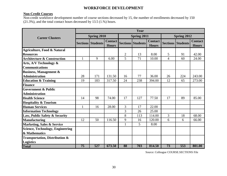## **WORKFORCE DEVELOPMENT**

#### **Non-Credit Courses**

Non-credit workforce development number of course sections decreased by 15, the number of enrollments decreased by 150 (21.3%), and the total contact hours decreased by 13.5 (1.%) hours.

|                                           |    |                          |                                |                | Year                     |                                |                |                          |                                |  |
|-------------------------------------------|----|--------------------------|--------------------------------|----------------|--------------------------|--------------------------------|----------------|--------------------------|--------------------------------|--|
| <b>Career Clusters</b>                    |    | Spring 2010              |                                |                | Spring 2011              |                                |                | Spring 2012              |                                |  |
|                                           |    | <b>Sections Students</b> | <b>Contact</b><br><b>Hours</b> |                | <b>Sections Students</b> | <b>Contact</b><br><b>Hours</b> |                | <b>Sections Students</b> | <b>Contact</b><br><b>Hours</b> |  |
| <b>Agriculture, Food &amp; Natural</b>    |    |                          |                                |                |                          |                                |                |                          |                                |  |
| <b>Resources</b>                          |    |                          |                                | $\overline{2}$ | 13                       | 8.00                           | 5              | 91                       | 42.00                          |  |
| <b>Architecture &amp; Construction</b>    | 1  | 9                        | 6.00                           | 5              | 71                       | 10.00                          | $\overline{4}$ | 60                       | 24.00                          |  |
| Arts, A/V Technology &                    |    |                          |                                |                |                          |                                |                |                          |                                |  |
| <b>Communications</b>                     |    |                          |                                |                |                          |                                |                |                          |                                |  |
| <b>Business, Management &amp;</b>         |    |                          |                                |                |                          |                                |                |                          |                                |  |
| <b>Administration</b>                     | 28 | 171                      | 131.50                         | 16             | 77                       | 36.00                          | 26             | 224                      | 243.00                         |  |
| <b>Education &amp; Training</b>           | 19 | 183                      | 317.50                         | 24             | 238                      | 394.00                         | 12             | 65                       | 273.00                         |  |
| <b>Finance</b>                            |    |                          |                                |                |                          |                                |                |                          |                                |  |
| <b>Government &amp; Public</b>            |    |                          |                                |                |                          |                                |                |                          |                                |  |
| <b>Administration</b>                     |    |                          |                                |                |                          |                                |                |                          |                                |  |
| <b>Health Science</b>                     | 14 | 98                       | 74.00                          | 17             | 127                      | 77.50                          | 17             | 89                       | 85.00                          |  |
| <b>Hospitality &amp; Tourism</b>          |    |                          |                                |                |                          |                                |                |                          |                                |  |
| <b>Human Services</b>                     | 1  | 16                       | 28.00                          | 3              | 17                       | 22.00                          |                |                          |                                |  |
| <b>Information Technology</b>             |    |                          |                                | 3              | 26                       | 25.00                          |                |                          |                                |  |
| Law, Public Safety & Security             |    |                          |                                | 8              | 113                      | 114.00                         | 3              | 18                       | 68.00                          |  |
| <b>Manufacturing</b>                      | 12 | 50                       | 116.50                         | 9              | 16                       | 120.00                         | 6              | 6                        | 66.00                          |  |
| <b>Marketing, Sales &amp; Service</b>     |    |                          |                                | $\mathbf{1}$   | 5                        | 8.00                           |                |                          |                                |  |
| <b>Science, Technology, Engineering</b>   |    |                          |                                |                |                          |                                |                |                          |                                |  |
| & Mathematics                             |    |                          |                                |                |                          |                                |                |                          |                                |  |
| <b>Transportation, Distribution &amp;</b> |    |                          |                                |                |                          |                                |                |                          |                                |  |
| <b>Logistics</b>                          |    |                          |                                |                |                          |                                |                |                          |                                |  |
| <b>Total</b>                              | 75 | 527                      | 673.50                         | 88             | 703                      | 814.50                         | 73             | 553                      | 801.00                         |  |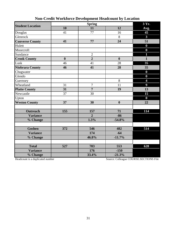| <b>Student Location</b> |                  | 3 Yr.          |                  |                         |
|-------------------------|------------------|----------------|------------------|-------------------------|
|                         | 10               | 11             | 12               | Avg.                    |
| Douglas                 | 41               | 77             | 16               | 45                      |
| Glenrock                |                  |                | 8                | $\overline{\mathbf{3}}$ |
| <b>Converse County</b>  | 41               | 77             | 24               | 51                      |
| Hulett                  |                  |                |                  | $\boldsymbol{0}$        |
| Moorcroft               |                  |                |                  | $\boldsymbol{0}$        |
| Sundance                |                  | $\overline{2}$ |                  | $\overline{\mathbf{1}}$ |
| <b>Crook County</b>     | $\boldsymbol{0}$ | $\overline{2}$ | $\boldsymbol{0}$ | $\mathbf{1}$            |
| Lusk                    | 46               | 41             | 28               | 35                      |
| Niobrara County         | 46               | 41             | 28               | 35                      |
| Chugwater               |                  |                |                  | $\bf{0}$                |
| Glendo                  |                  |                |                  | $\boldsymbol{0}$        |
| Guernsey                |                  |                | 8                | $\overline{\mathbf{4}}$ |
| Wheatland               | 31               | $\overline{7}$ | 11               | $\overline{9}$          |
| <b>Platte County</b>    | 31               | $\overline{7}$ | 19               | 13                      |
| Newcastle               | 37               | 30             |                  | 15                      |
| Upton                   |                  |                |                  | $\boldsymbol{0}$        |
| <b>Weston County</b>    | 37               | 30             | $\boldsymbol{0}$ | 22                      |
|                         |                  |                |                  |                         |
| <b>Outreach</b>         | 155              | 157            | 71               | 114                     |
| <b>Variance</b>         |                  | $\overline{2}$ | $-86$            |                         |
| % Change                |                  | 1.3%           | $-54.8%$         |                         |
|                         |                  |                |                  |                         |
| <b>Goshen</b>           | 372              | 546            | 482              | 514                     |
| <b>Variance</b>         |                  | 174            | $-64$            |                         |
| % Change                |                  | 46.8%          | $-11.7%$         |                         |
|                         |                  |                |                  |                         |
| <b>Total</b>            | 527              | 703            | 553              | 628                     |
| <b>Variance</b>         |                  | 176            | $-150$           |                         |
| % Change                |                  | 33.4%          | $-21.3%$         |                         |

# **Non-Credit Workforce Development Headcount by Location**

Headcount is a duplicated number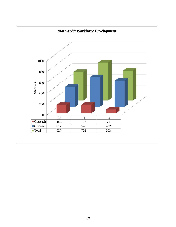